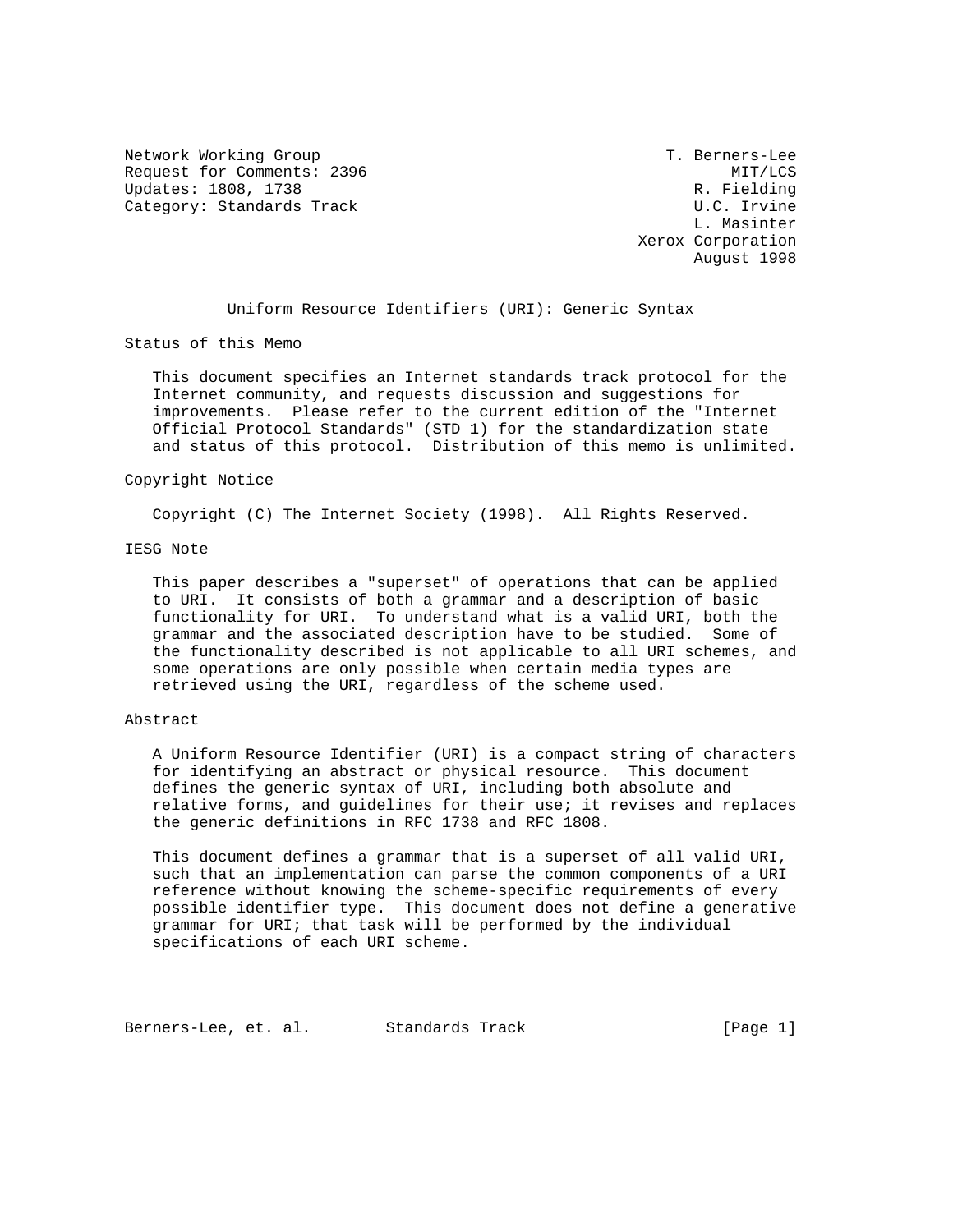Network Working Group T. Berners-Lee Request for Comments: 2396 MIT/LCS Updates: 1808, 1738 R. Fielding Category: Standards Track U.C. Irvine

 L. Masinter Xerox Corporation August 1998

Uniform Resource Identifiers (URI): Generic Syntax

Status of this Memo

 This document specifies an Internet standards track protocol for the Internet community, and requests discussion and suggestions for improvements. Please refer to the current edition of the "Internet Official Protocol Standards" (STD 1) for the standardization state and status of this protocol. Distribution of this memo is unlimited.

#### Copyright Notice

Copyright (C) The Internet Society (1998). All Rights Reserved.

# IESG Note

 This paper describes a "superset" of operations that can be applied to URI. It consists of both a grammar and a description of basic functionality for URI. To understand what is a valid URI, both the grammar and the associated description have to be studied. Some of the functionality described is not applicable to all URI schemes, and some operations are only possible when certain media types are retrieved using the URI, regardless of the scheme used.

# Abstract

 A Uniform Resource Identifier (URI) is a compact string of characters for identifying an abstract or physical resource. This document defines the generic syntax of URI, including both absolute and relative forms, and guidelines for their use; it revises and replaces the generic definitions in RFC 1738 and RFC 1808.

 This document defines a grammar that is a superset of all valid URI, such that an implementation can parse the common components of a URI reference without knowing the scheme-specific requirements of every possible identifier type. This document does not define a generative grammar for URI; that task will be performed by the individual specifications of each URI scheme.

Berners-Lee, et. al. Standards Track (Page 1)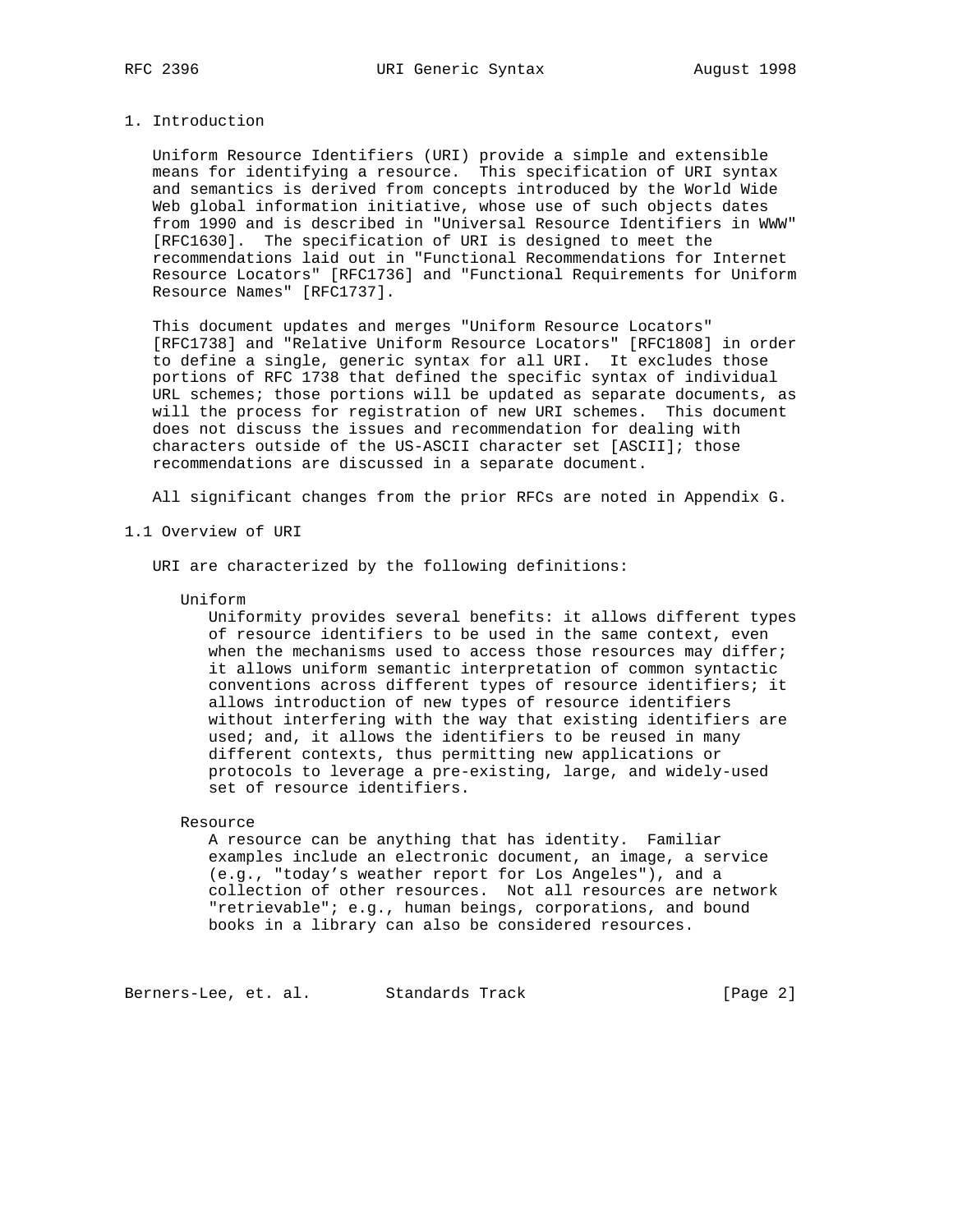#### 1. Introduction

 Uniform Resource Identifiers (URI) provide a simple and extensible means for identifying a resource. This specification of URI syntax and semantics is derived from concepts introduced by the World Wide Web global information initiative, whose use of such objects dates from 1990 and is described in "Universal Resource Identifiers in WWW" [RFC1630]. The specification of URI is designed to meet the recommendations laid out in "Functional Recommendations for Internet Resource Locators" [RFC1736] and "Functional Requirements for Uniform Resource Names" [RFC1737].

 This document updates and merges "Uniform Resource Locators" [RFC1738] and "Relative Uniform Resource Locators" [RFC1808] in order to define a single, generic syntax for all URI. It excludes those portions of RFC 1738 that defined the specific syntax of individual URL schemes; those portions will be updated as separate documents, as will the process for registration of new URI schemes. This document does not discuss the issues and recommendation for dealing with characters outside of the US-ASCII character set [ASCII]; those recommendations are discussed in a separate document.

All significant changes from the prior RFCs are noted in Appendix G.

1.1 Overview of URI

URI are characterized by the following definitions:

#### Uniform

 Uniformity provides several benefits: it allows different types of resource identifiers to be used in the same context, even when the mechanisms used to access those resources may differ; it allows uniform semantic interpretation of common syntactic conventions across different types of resource identifiers; it allows introduction of new types of resource identifiers without interfering with the way that existing identifiers are used; and, it allows the identifiers to be reused in many different contexts, thus permitting new applications or protocols to leverage a pre-existing, large, and widely-used set of resource identifiers.

#### Resource

 A resource can be anything that has identity. Familiar examples include an electronic document, an image, a service (e.g., "today's weather report for Los Angeles"), and a collection of other resources. Not all resources are network "retrievable"; e.g., human beings, corporations, and bound books in a library can also be considered resources.

Berners-Lee, et. al. Standards Track [Page 2]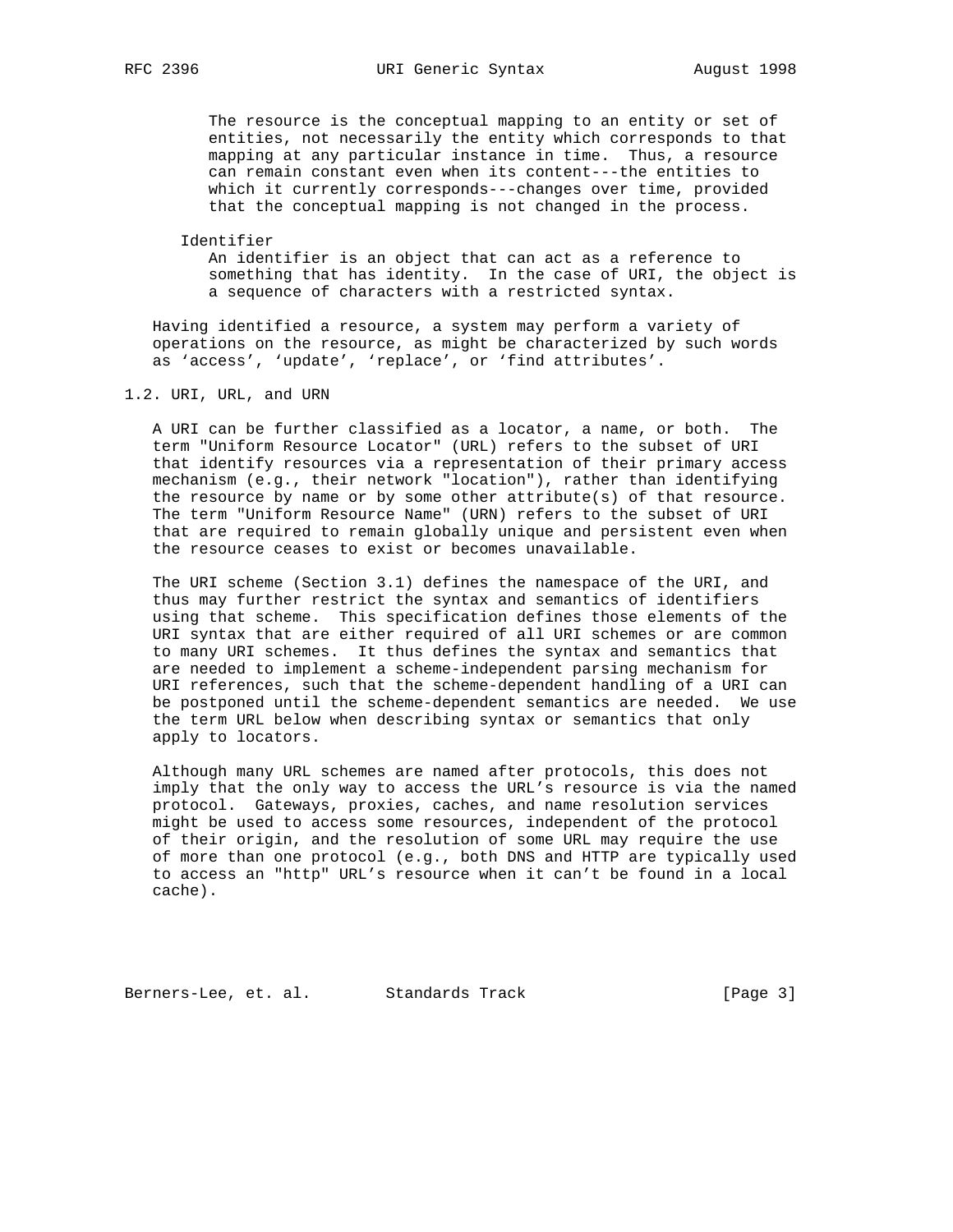The resource is the conceptual mapping to an entity or set of entities, not necessarily the entity which corresponds to that mapping at any particular instance in time. Thus, a resource can remain constant even when its content---the entities to which it currently corresponds---changes over time, provided that the conceptual mapping is not changed in the process.

Identifier

 An identifier is an object that can act as a reference to something that has identity. In the case of URI, the object is a sequence of characters with a restricted syntax.

 Having identified a resource, a system may perform a variety of operations on the resource, as might be characterized by such words as 'access', 'update', 'replace', or 'find attributes'.

1.2. URI, URL, and URN

 A URI can be further classified as a locator, a name, or both. The term "Uniform Resource Locator" (URL) refers to the subset of URI that identify resources via a representation of their primary access mechanism (e.g., their network "location"), rather than identifying the resource by name or by some other attribute(s) of that resource. The term "Uniform Resource Name" (URN) refers to the subset of URI that are required to remain globally unique and persistent even when the resource ceases to exist or becomes unavailable.

 The URI scheme (Section 3.1) defines the namespace of the URI, and thus may further restrict the syntax and semantics of identifiers using that scheme. This specification defines those elements of the URI syntax that are either required of all URI schemes or are common to many URI schemes. It thus defines the syntax and semantics that are needed to implement a scheme-independent parsing mechanism for URI references, such that the scheme-dependent handling of a URI can be postponed until the scheme-dependent semantics are needed. We use the term URL below when describing syntax or semantics that only apply to locators.

 Although many URL schemes are named after protocols, this does not imply that the only way to access the URL's resource is via the named protocol. Gateways, proxies, caches, and name resolution services might be used to access some resources, independent of the protocol of their origin, and the resolution of some URL may require the use of more than one protocol (e.g., both DNS and HTTP are typically used to access an "http" URL's resource when it can't be found in a local cache).

Berners-Lee, et. al. Standards Track [Page 3]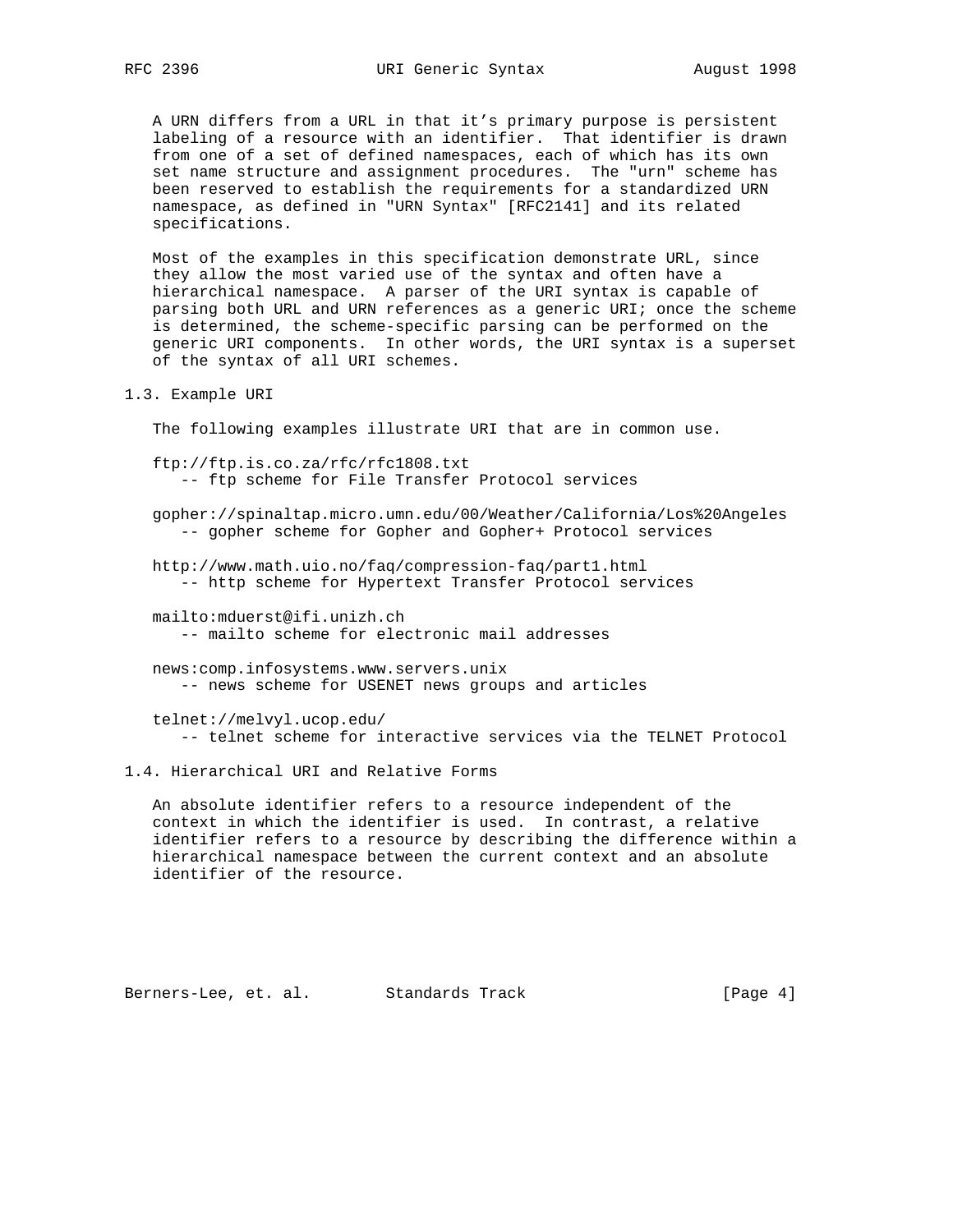A URN differs from a URL in that it's primary purpose is persistent labeling of a resource with an identifier. That identifier is drawn from one of a set of defined namespaces, each of which has its own set name structure and assignment procedures. The "urn" scheme has been reserved to establish the requirements for a standardized URN namespace, as defined in "URN Syntax" [RFC2141] and its related specifications.

 Most of the examples in this specification demonstrate URL, since they allow the most varied use of the syntax and often have a hierarchical namespace. A parser of the URI syntax is capable of parsing both URL and URN references as a generic URI; once the scheme is determined, the scheme-specific parsing can be performed on the generic URI components. In other words, the URI syntax is a superset of the syntax of all URI schemes.

1.3. Example URI

The following examples illustrate URI that are in common use.

 ftp://ftp.is.co.za/rfc/rfc1808.txt -- ftp scheme for File Transfer Protocol services

 gopher://spinaltap.micro.umn.edu/00/Weather/California/Los%20Angeles -- gopher scheme for Gopher and Gopher+ Protocol services

 http://www.math.uio.no/faq/compression-faq/part1.html -- http scheme for Hypertext Transfer Protocol services

 mailto:mduerst@ifi.unizh.ch -- mailto scheme for electronic mail addresses

 news:comp.infosystems.www.servers.unix -- news scheme for USENET news groups and articles

 telnet://melvyl.ucop.edu/ -- telnet scheme for interactive services via the TELNET Protocol

1.4. Hierarchical URI and Relative Forms

 An absolute identifier refers to a resource independent of the context in which the identifier is used. In contrast, a relative identifier refers to a resource by describing the difference within a hierarchical namespace between the current context and an absolute identifier of the resource.

Berners-Lee, et. al. Standards Track (Page 4)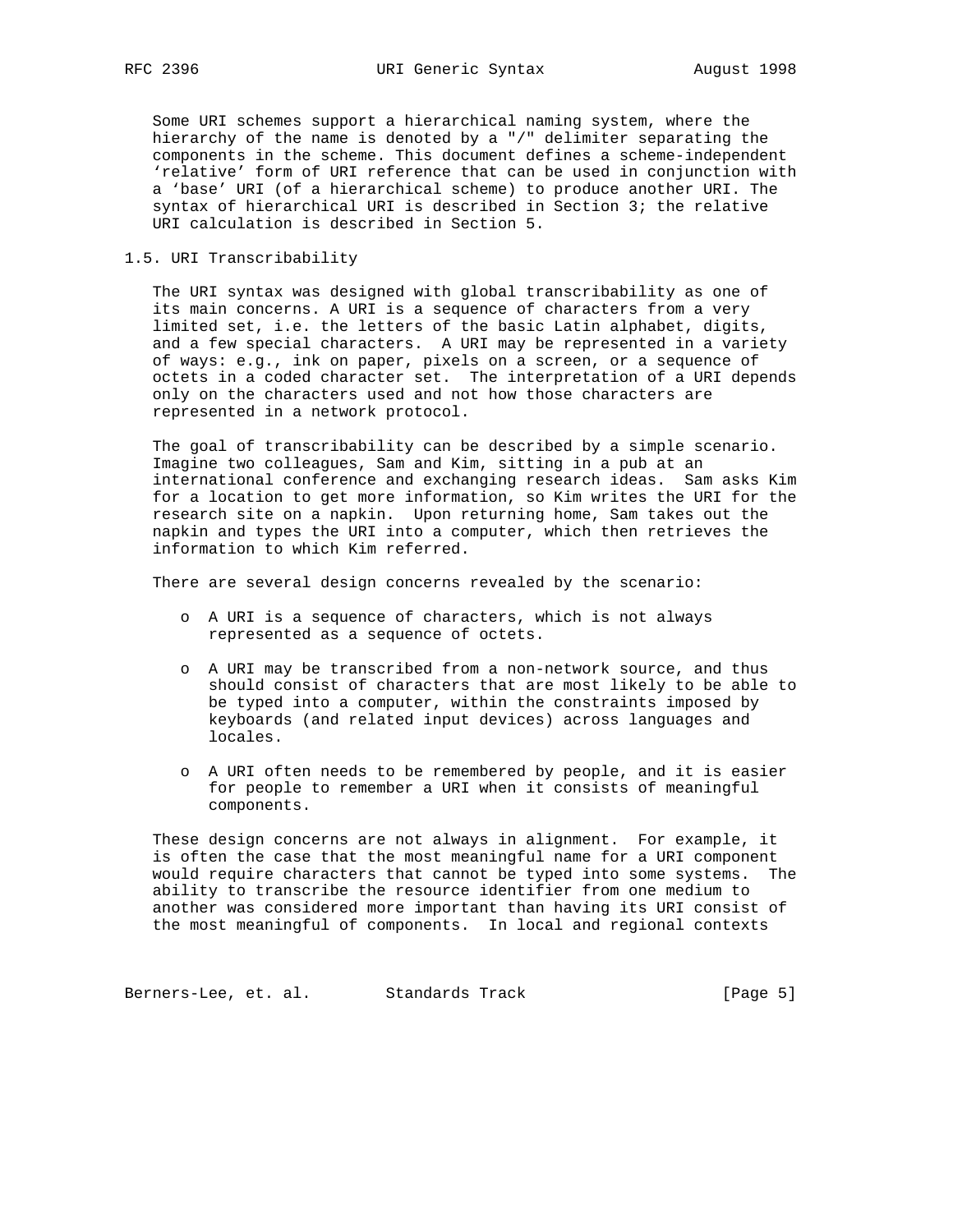Some URI schemes support a hierarchical naming system, where the hierarchy of the name is denoted by a "/" delimiter separating the components in the scheme. This document defines a scheme-independent 'relative' form of URI reference that can be used in conjunction with a 'base' URI (of a hierarchical scheme) to produce another URI. The syntax of hierarchical URI is described in Section 3; the relative URI calculation is described in Section 5.

# 1.5. URI Transcribability

 The URI syntax was designed with global transcribability as one of its main concerns. A URI is a sequence of characters from a very limited set, i.e. the letters of the basic Latin alphabet, digits, and a few special characters. A URI may be represented in a variety of ways: e.g., ink on paper, pixels on a screen, or a sequence of octets in a coded character set. The interpretation of a URI depends only on the characters used and not how those characters are represented in a network protocol.

 The goal of transcribability can be described by a simple scenario. Imagine two colleagues, Sam and Kim, sitting in a pub at an international conference and exchanging research ideas. Sam asks Kim for a location to get more information, so Kim writes the URI for the research site on a napkin. Upon returning home, Sam takes out the napkin and types the URI into a computer, which then retrieves the information to which Kim referred.

There are several design concerns revealed by the scenario:

- o A URI is a sequence of characters, which is not always represented as a sequence of octets.
- o A URI may be transcribed from a non-network source, and thus should consist of characters that are most likely to be able to be typed into a computer, within the constraints imposed by keyboards (and related input devices) across languages and locales.
- o A URI often needs to be remembered by people, and it is easier for people to remember a URI when it consists of meaningful components.

 These design concerns are not always in alignment. For example, it is often the case that the most meaningful name for a URI component would require characters that cannot be typed into some systems. The ability to transcribe the resource identifier from one medium to another was considered more important than having its URI consist of the most meaningful of components. In local and regional contexts

Berners-Lee, et. al. Standards Track (Page 5)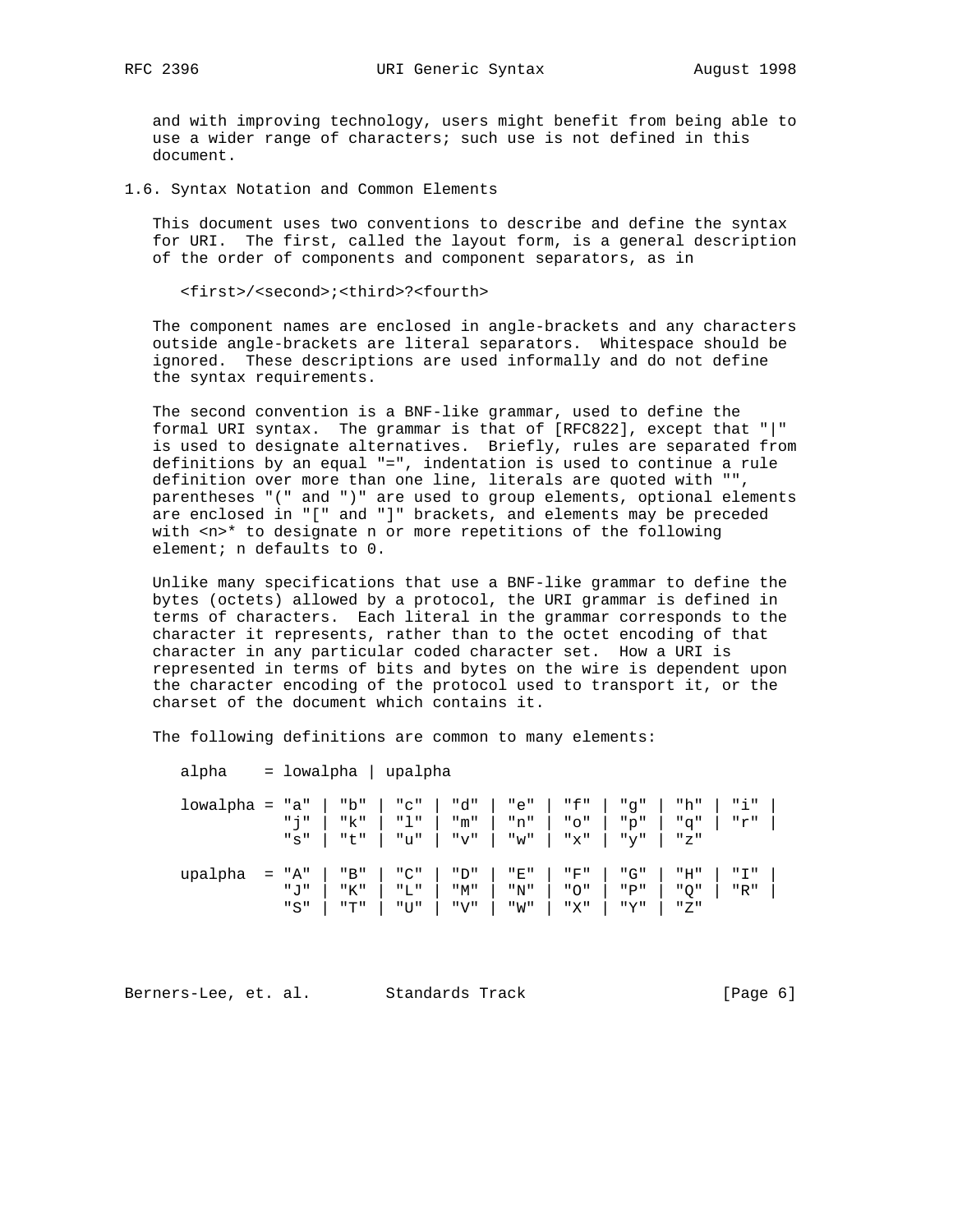and with improving technology, users might benefit from being able to use a wider range of characters; such use is not defined in this document.

1.6. Syntax Notation and Common Elements

 This document uses two conventions to describe and define the syntax for URI. The first, called the layout form, is a general description of the order of components and component separators, as in

<first>/<second>;<third>?<fourth>

 The component names are enclosed in angle-brackets and any characters outside angle-brackets are literal separators. Whitespace should be ignored. These descriptions are used informally and do not define the syntax requirements.

 The second convention is a BNF-like grammar, used to define the formal URI syntax. The grammar is that of [RFC822], except that "|" is used to designate alternatives. Briefly, rules are separated from definitions by an equal "=", indentation is used to continue a rule definition over more than one line, literals are quoted with "", parentheses "(" and ")" are used to group elements, optional elements are enclosed in "[" and "]" brackets, and elements may be preceded with <n>\* to designate n or more repetitions of the following element; n defaults to 0.

 Unlike many specifications that use a BNF-like grammar to define the bytes (octets) allowed by a protocol, the URI grammar is defined in terms of characters. Each literal in the grammar corresponds to the character it represents, rather than to the octet encoding of that character in any particular coded character set. How a URI is represented in terms of bits and bytes on the wire is dependent upon the character encoding of the protocol used to transport it, or the charset of the document which contains it.

The following definitions are common to many elements:

alpha = lowalpha | upalpha

| $1$ owalpha = "a"   "b"   "c"   "d"   "e"   "f"   "g"   "h"   "i" |         |                                                     |     |       |                       |     |                             |  |
|-------------------------------------------------------------------|---------|-----------------------------------------------------|-----|-------|-----------------------|-----|-----------------------------|--|
|                                                                   |         | "j"   "k"   "l"   "m"   "n"   "o"   "p"   "q"   "r" |     |       |                       |     |                             |  |
|                                                                   |         | $"s"$   "t"   "u"   "v"   "w"   "x"   "y"   "z"     |     |       |                       |     |                             |  |
|                                                                   |         |                                                     |     |       |                       |     |                             |  |
| $upalpha = "A"   "B"   "C"   "D"$                                 |         |                                                     |     |       |                       |     | "E"   "F"   "G"   "H"   "I" |  |
|                                                                   | " ו " ו | "K"   "L"                                           | "M" | $"N"$ | "O"                   | "P" | "Q"   "R"                   |  |
|                                                                   |         | $"S"$   "T"   "U"   "V"                             |     |       | "W"   "X"   "Y"   "Z" |     |                             |  |

Berners-Lee, et. al. Standards Track (Page 6)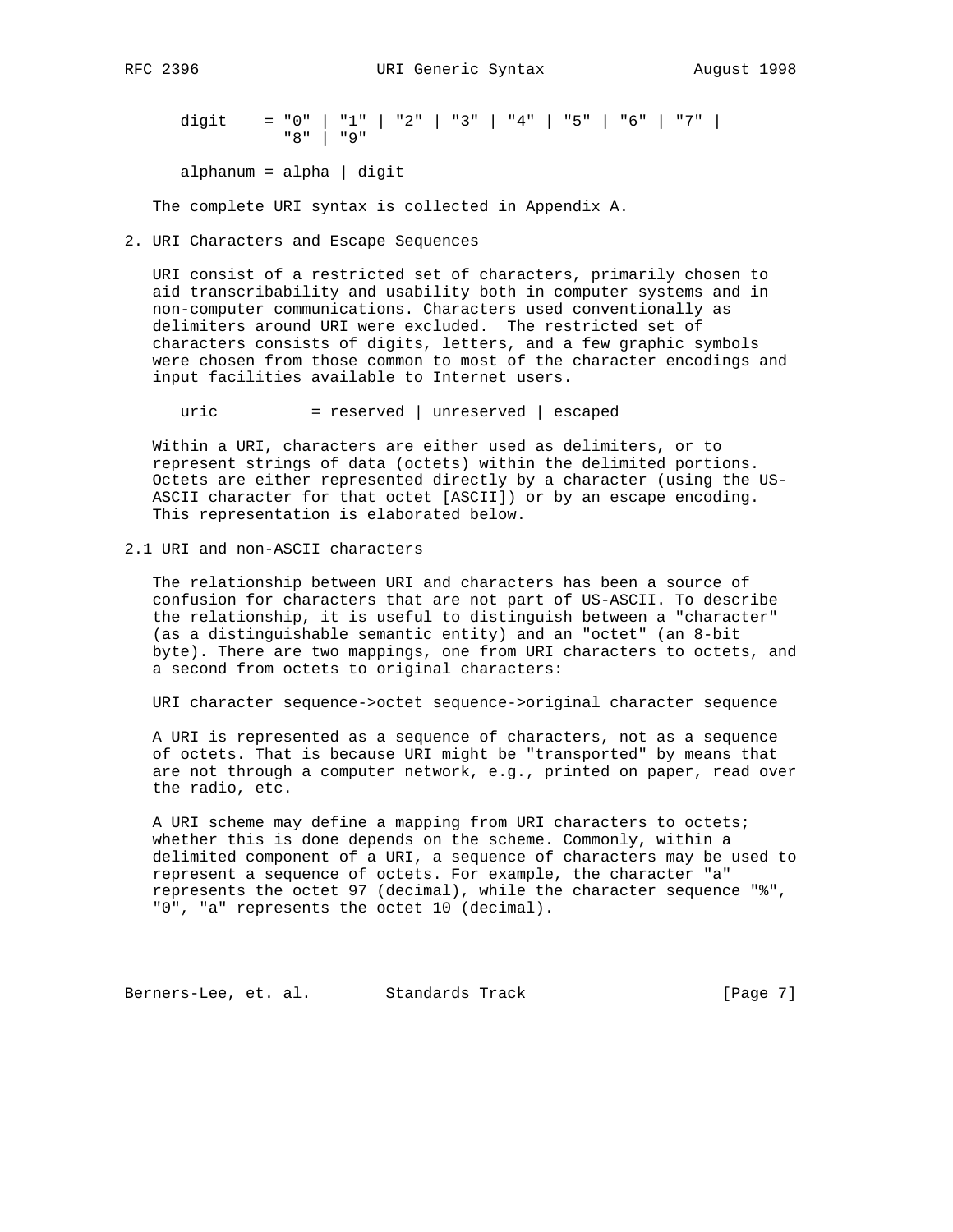digit = "0" | "1" | "2" | "3" | "4" | "5" | "6" | "7" | "8" | "9"

alphanum = alpha | digit

The complete URI syntax is collected in Appendix A.

#### 2. URI Characters and Escape Sequences

 URI consist of a restricted set of characters, primarily chosen to aid transcribability and usability both in computer systems and in non-computer communications. Characters used conventionally as delimiters around URI were excluded. The restricted set of characters consists of digits, letters, and a few graphic symbols were chosen from those common to most of the character encodings and input facilities available to Internet users.

uric = reserved | unreserved | escaped

 Within a URI, characters are either used as delimiters, or to represent strings of data (octets) within the delimited portions. Octets are either represented directly by a character (using the US- ASCII character for that octet [ASCII]) or by an escape encoding. This representation is elaborated below.

## 2.1 URI and non-ASCII characters

 The relationship between URI and characters has been a source of confusion for characters that are not part of US-ASCII. To describe the relationship, it is useful to distinguish between a "character" (as a distinguishable semantic entity) and an "octet" (an 8-bit byte). There are two mappings, one from URI characters to octets, and a second from octets to original characters:

URI character sequence->octet sequence->original character sequence

 A URI is represented as a sequence of characters, not as a sequence of octets. That is because URI might be "transported" by means that are not through a computer network, e.g., printed on paper, read over the radio, etc.

 A URI scheme may define a mapping from URI characters to octets; whether this is done depends on the scheme. Commonly, within a delimited component of a URI, a sequence of characters may be used to represent a sequence of octets. For example, the character "a" represents the octet 97 (decimal), while the character sequence "%", "0", "a" represents the octet 10 (decimal).

Berners-Lee, et. al. Standards Track [Page 7]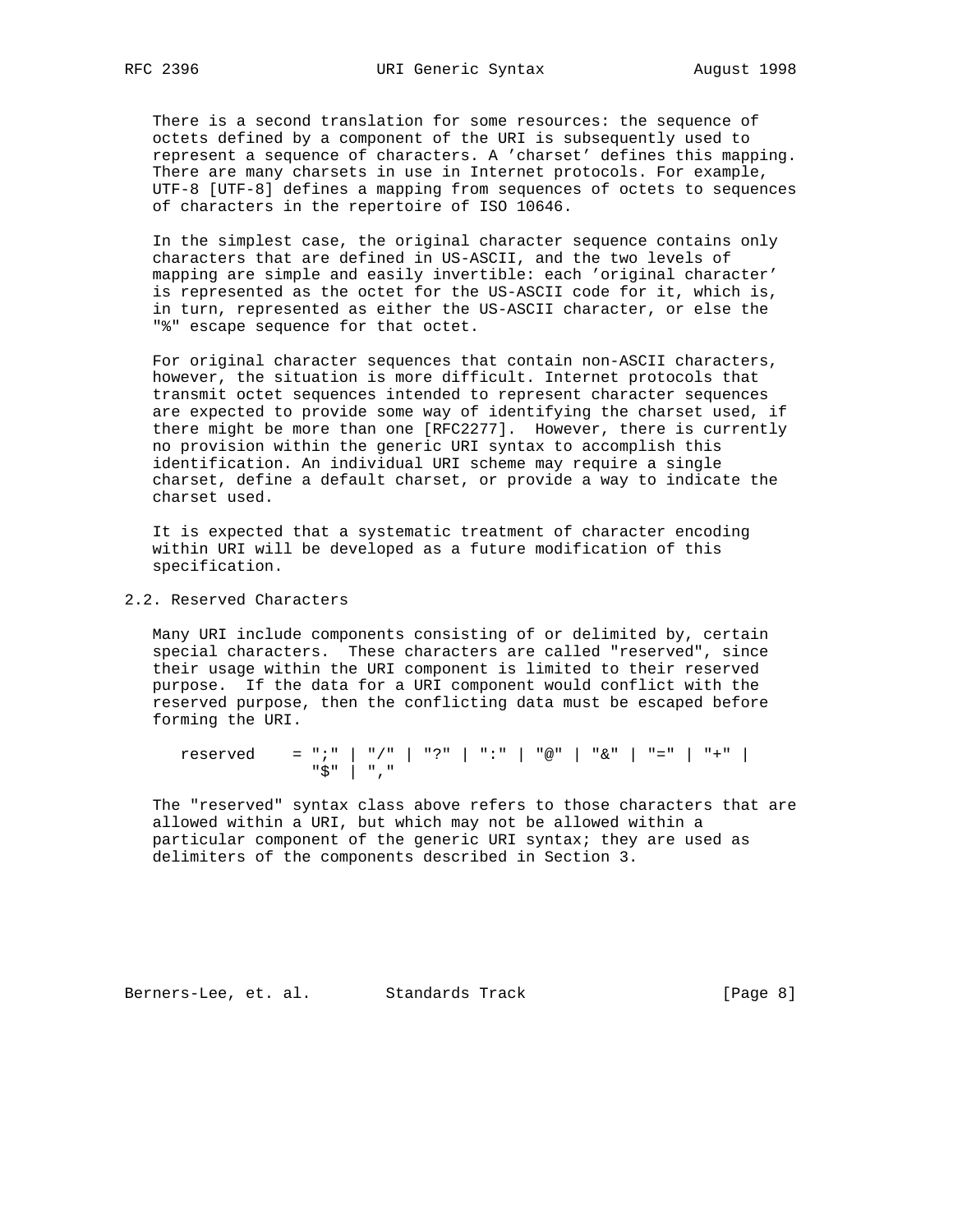There is a second translation for some resources: the sequence of octets defined by a component of the URI is subsequently used to represent a sequence of characters. A 'charset' defines this mapping. There are many charsets in use in Internet protocols. For example, UTF-8 [UTF-8] defines a mapping from sequences of octets to sequences of characters in the repertoire of ISO 10646.

 In the simplest case, the original character sequence contains only characters that are defined in US-ASCII, and the two levels of mapping are simple and easily invertible: each 'original character' is represented as the octet for the US-ASCII code for it, which is, in turn, represented as either the US-ASCII character, or else the "%" escape sequence for that octet.

 For original character sequences that contain non-ASCII characters, however, the situation is more difficult. Internet protocols that transmit octet sequences intended to represent character sequences are expected to provide some way of identifying the charset used, if there might be more than one [RFC2277]. However, there is currently no provision within the generic URI syntax to accomplish this identification. An individual URI scheme may require a single charset, define a default charset, or provide a way to indicate the charset used.

 It is expected that a systematic treatment of character encoding within URI will be developed as a future modification of this specification.

## 2.2. Reserved Characters

 Many URI include components consisting of or delimited by, certain special characters. These characters are called "reserved", since their usage within the URI component is limited to their reserved purpose. If the data for a URI component would conflict with the reserved purpose, then the conflicting data must be escaped before forming the URI.

 reserved = ";" | "/" | "?" | ":" | "@" | "&" | "=" | "+" | "\$" | ","

 The "reserved" syntax class above refers to those characters that are allowed within a URI, but which may not be allowed within a particular component of the generic URI syntax; they are used as delimiters of the components described in Section 3.

Berners-Lee, et. al. Standards Track [Page 8]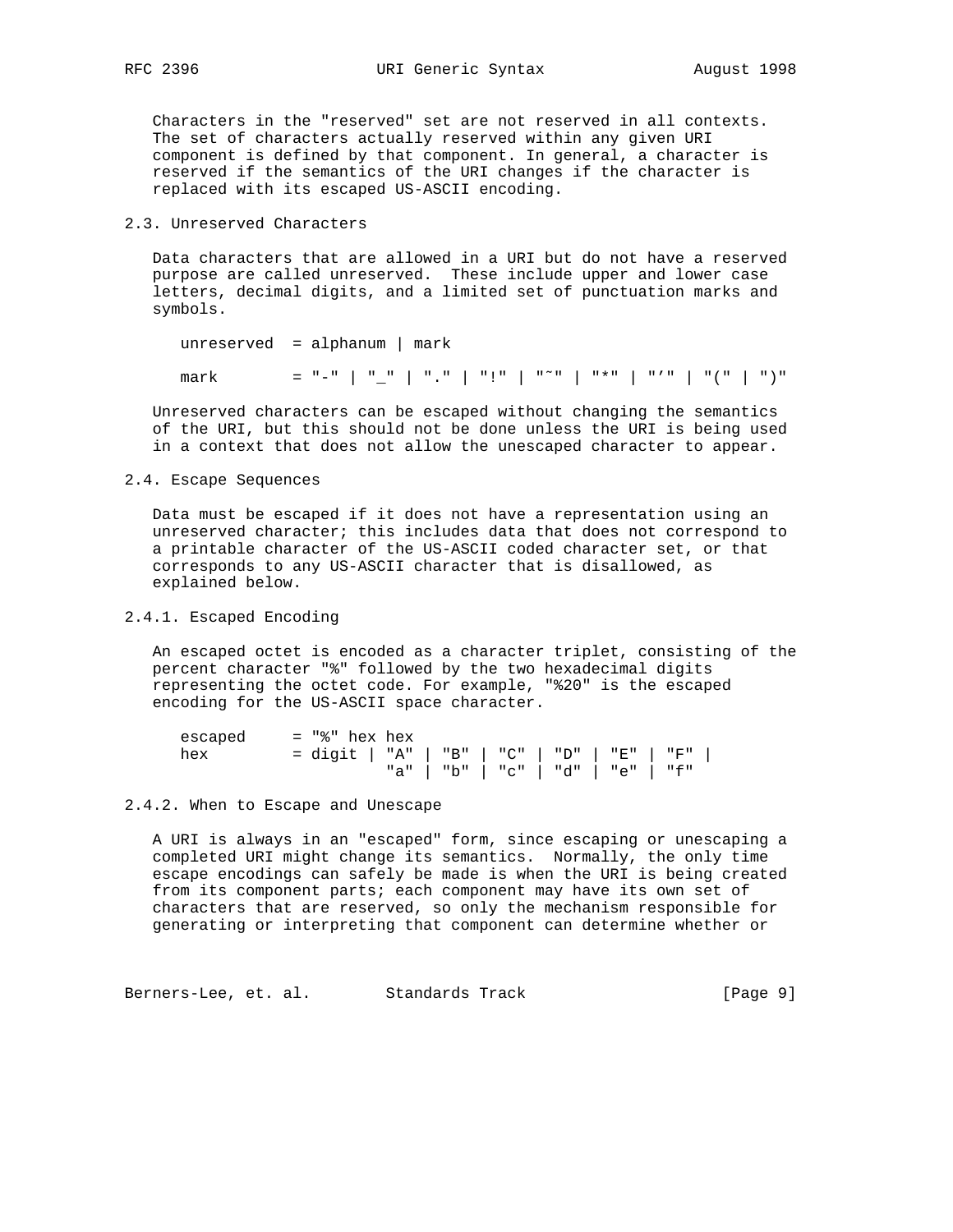Characters in the "reserved" set are not reserved in all contexts. The set of characters actually reserved within any given URI component is defined by that component. In general, a character is reserved if the semantics of the URI changes if the character is replaced with its escaped US-ASCII encoding.

#### 2.3. Unreserved Characters

 Data characters that are allowed in a URI but do not have a reserved purpose are called unreserved. These include upper and lower case letters, decimal digits, and a limited set of punctuation marks and symbols.

```
 unreserved = alphanum | mark
mark = "-" | " " | "." | "." | "*" | "*" | "'" | "(" | ")"
```
 Unreserved characters can be escaped without changing the semantics of the URI, but this should not be done unless the URI is being used in a context that does not allow the unescaped character to appear.

### 2.4. Escape Sequences

 Data must be escaped if it does not have a representation using an unreserved character; this includes data that does not correspond to a printable character of the US-ASCII coded character set, or that corresponds to any US-ASCII character that is disallowed, as explained below.

## 2.4.1. Escaped Encoding

 An escaped octet is encoded as a character triplet, consisting of the percent character "%" followed by the two hexadecimal digits representing the octet code. For example, "%20" is the escaped encoding for the US-ASCII space character.

 escaped = "%" hex hex hex = digit | "A" | "B" | "C" | "D" | "E" | "F" | "a" | "b" | "c" | "d" | "e" | "f"

#### 2.4.2. When to Escape and Unescape

 A URI is always in an "escaped" form, since escaping or unescaping a completed URI might change its semantics. Normally, the only time escape encodings can safely be made is when the URI is being created from its component parts; each component may have its own set of characters that are reserved, so only the mechanism responsible for generating or interpreting that component can determine whether or

Berners-Lee, et. al. Standards Track (Page 9)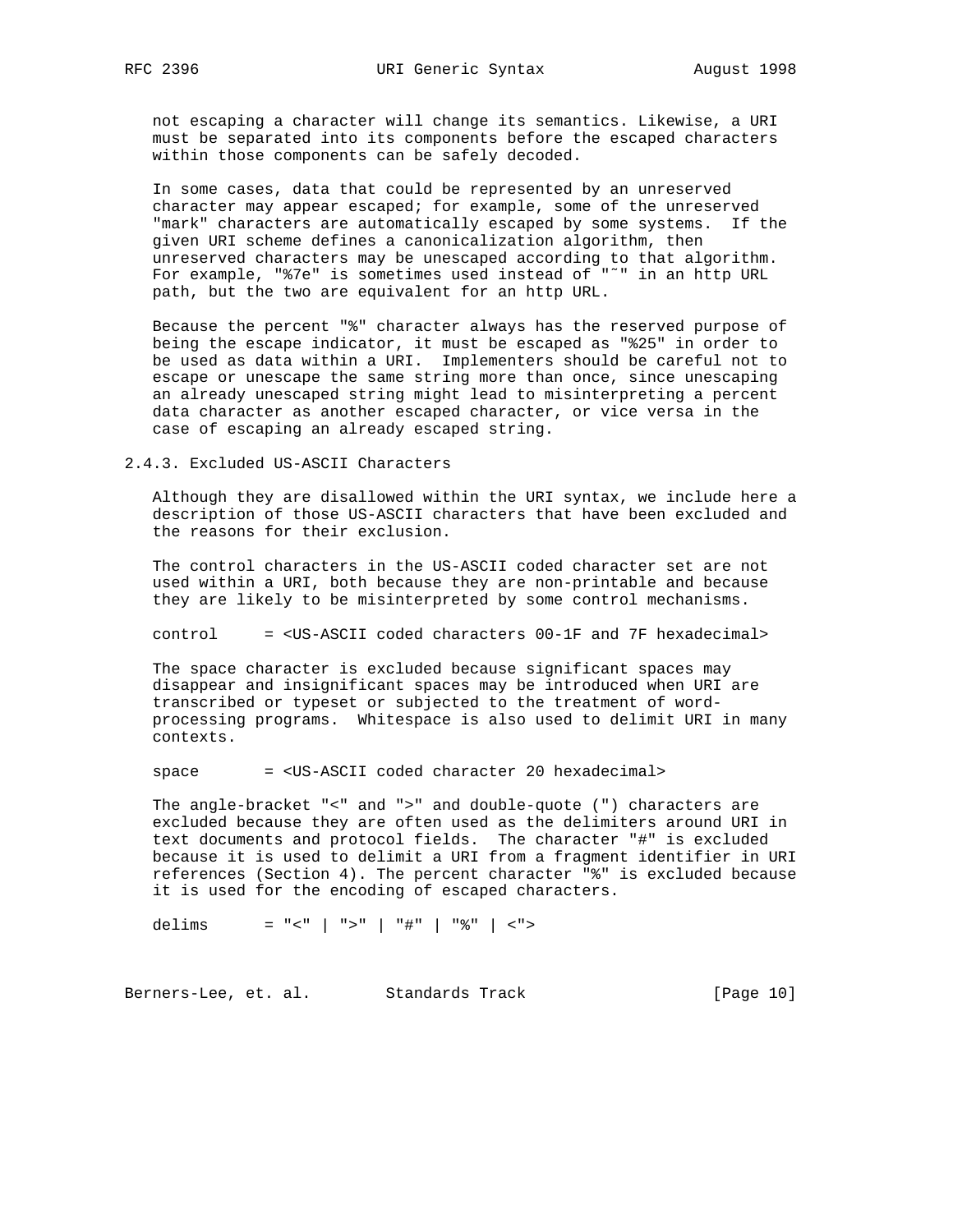not escaping a character will change its semantics. Likewise, a URI must be separated into its components before the escaped characters within those components can be safely decoded.

 In some cases, data that could be represented by an unreserved character may appear escaped; for example, some of the unreserved "mark" characters are automatically escaped by some systems. If the given URI scheme defines a canonicalization algorithm, then unreserved characters may be unescaped according to that algorithm. For example, "%7e" is sometimes used instead of "~" in an http URL path, but the two are equivalent for an http URL.

 Because the percent "%" character always has the reserved purpose of being the escape indicator, it must be escaped as "%25" in order to be used as data within a URI. Implementers should be careful not to escape or unescape the same string more than once, since unescaping an already unescaped string might lead to misinterpreting a percent data character as another escaped character, or vice versa in the case of escaping an already escaped string.

2.4.3. Excluded US-ASCII Characters

 Although they are disallowed within the URI syntax, we include here a description of those US-ASCII characters that have been excluded and the reasons for their exclusion.

 The control characters in the US-ASCII coded character set are not used within a URI, both because they are non-printable and because they are likely to be misinterpreted by some control mechanisms.

control = <US-ASCII coded characters 00-1F and 7F hexadecimal>

 The space character is excluded because significant spaces may disappear and insignificant spaces may be introduced when URI are transcribed or typeset or subjected to the treatment of word processing programs. Whitespace is also used to delimit URI in many contexts.

space = <US-ASCII coded character 20 hexadecimal>

 The angle-bracket "<" and ">" and double-quote (") characters are excluded because they are often used as the delimiters around URI in text documents and protocol fields. The character "#" is excluded because it is used to delimit a URI from a fragment identifier in URI references (Section 4). The percent character "%" is excluded because it is used for the encoding of escaped characters.

delims = "<" | ">" | "#" | "%" | <">

Berners-Lee, et. al. Standards Track (Page 10)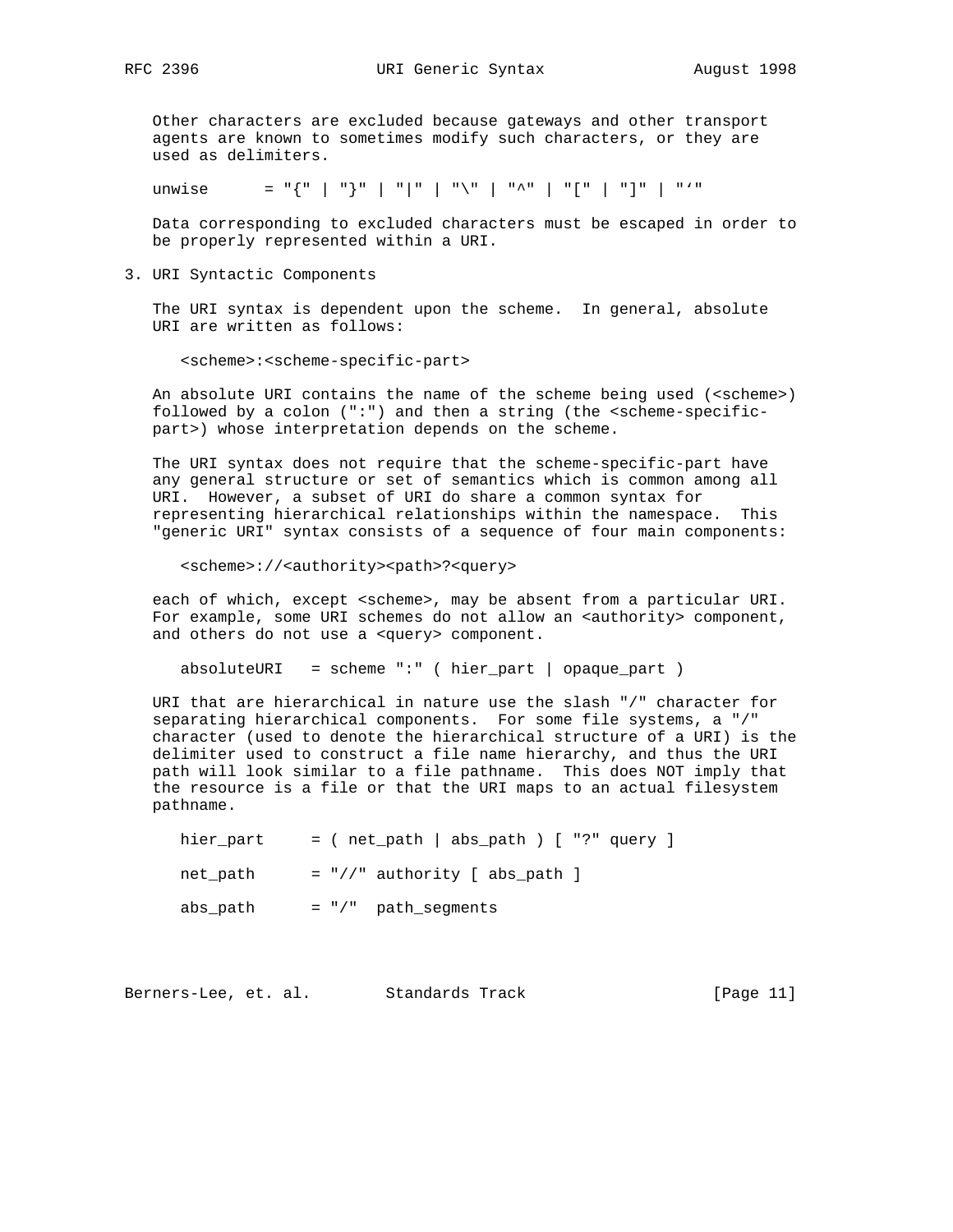Other characters are excluded because gateways and other transport agents are known to sometimes modify such characters, or they are used as delimiters.

unwise  $= "{ " | " | " } " | " | " | " | " \$ " | "^" | "[" | "]" | "'"

 Data corresponding to excluded characters must be escaped in order to be properly represented within a URI.

3. URI Syntactic Components

 The URI syntax is dependent upon the scheme. In general, absolute URI are written as follows:

<scheme>:<scheme-specific-part>

An absolute URI contains the name of the scheme being used (<scheme>) followed by a colon (":") and then a string (the  $\leq$  scheme-specificpart>) whose interpretation depends on the scheme.

 The URI syntax does not require that the scheme-specific-part have any general structure or set of semantics which is common among all URI. However, a subset of URI do share a common syntax for representing hierarchical relationships within the namespace. This "generic URI" syntax consists of a sequence of four main components:

<scheme>://<authority><path>?<query>

 each of which, except <scheme>, may be absent from a particular URI. For example, some URI schemes do not allow an <authority> component, and others do not use a <query> component.

```
absoluteURI = scheme ":" ( hier_part | opaque_part )
```
 URI that are hierarchical in nature use the slash "/" character for separating hierarchical components. For some file systems, a "/" character (used to denote the hierarchical structure of a URI) is the delimiter used to construct a file name hierarchy, and thus the URI path will look similar to a file pathname. This does NOT imply that the resource is a file or that the URI maps to an actual filesystem pathname.

hier\_part =  $($  net\_path  $|$  abs\_path  $)$  [ "?" query ]  $net\_path$  =  $\sqrt{7}$  authority [ abs\_path ] abs\_path = "/" path\_segments

Berners-Lee, et. al. Standards Track [Page 11]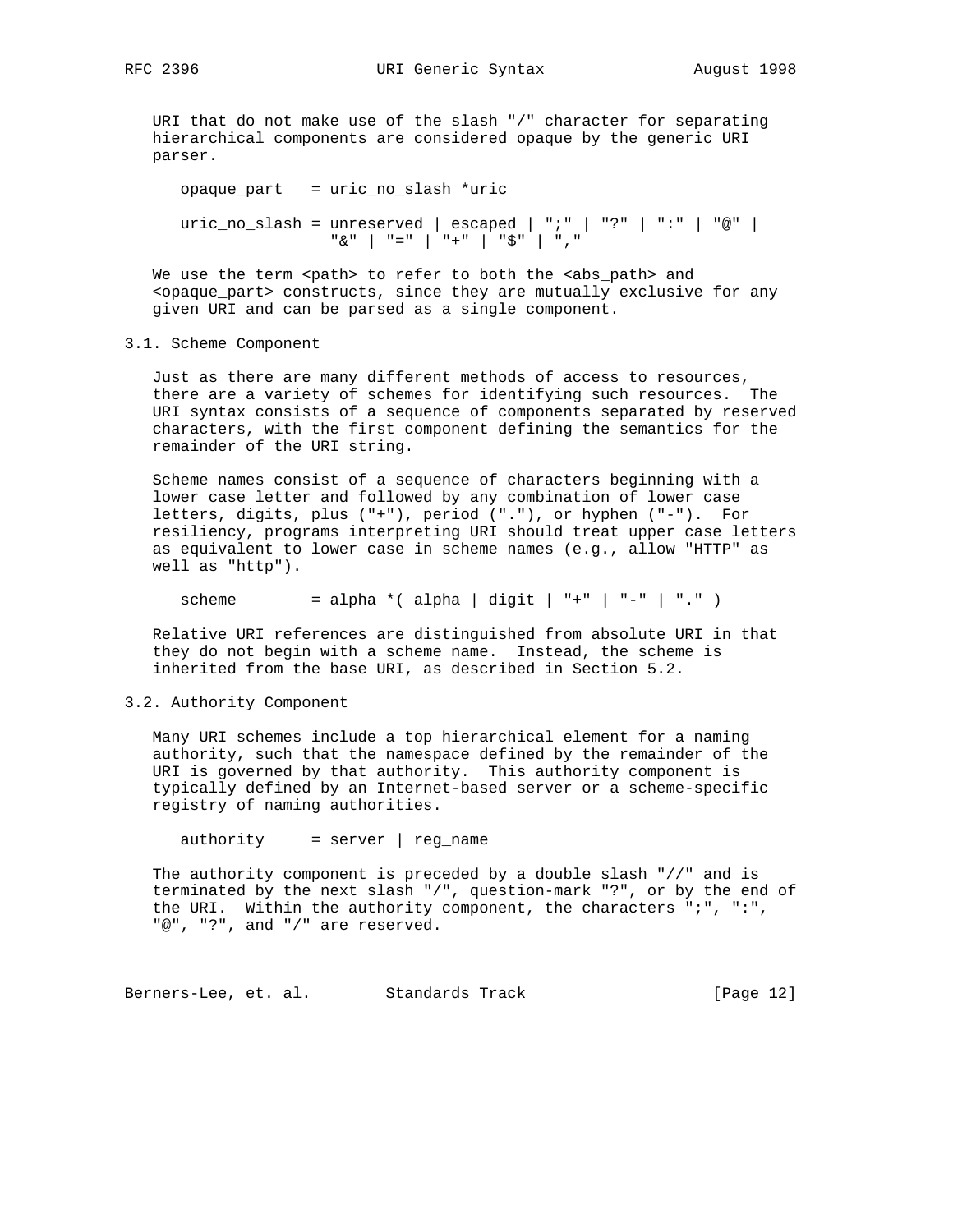URI that do not make use of the slash "/" character for separating hierarchical components are considered opaque by the generic URI parser.

```
 opaque_part = uric_no_slash *uric
uric_no_slash = unreserved | escaped | ";" | "?" | ":" | "@" |
                "&" | "=" | "+" | "$" | ","
```
We use the term <path> to refer to both the <abs\_path> and <opaque\_part> constructs, since they are mutually exclusive for any given URI and can be parsed as a single component.

#### 3.1. Scheme Component

 Just as there are many different methods of access to resources, there are a variety of schemes for identifying such resources. The URI syntax consists of a sequence of components separated by reserved characters, with the first component defining the semantics for the remainder of the URI string.

 Scheme names consist of a sequence of characters beginning with a lower case letter and followed by any combination of lower case letters, digits, plus ("+"), period ("."), or hyphen ("-"). For resiliency, programs interpreting URI should treat upper case letters as equivalent to lower case in scheme names (e.g., allow "HTTP" as well as "http").

scheme = alpha \*( alpha | digit | "+" | "-" | "." )

 Relative URI references are distinguished from absolute URI in that they do not begin with a scheme name. Instead, the scheme is inherited from the base URI, as described in Section 5.2.

#### 3.2. Authority Component

 Many URI schemes include a top hierarchical element for a naming authority, such that the namespace defined by the remainder of the URI is governed by that authority. This authority component is typically defined by an Internet-based server or a scheme-specific registry of naming authorities.

authority = server | reg\_name

 The authority component is preceded by a double slash "//" and is terminated by the next slash "/", question-mark "?", or by the end of the URI. Within the authority component, the characters ";", ":", "@", "?", and "/" are reserved.

Berners-Lee, et. al. Standards Track (Page 12)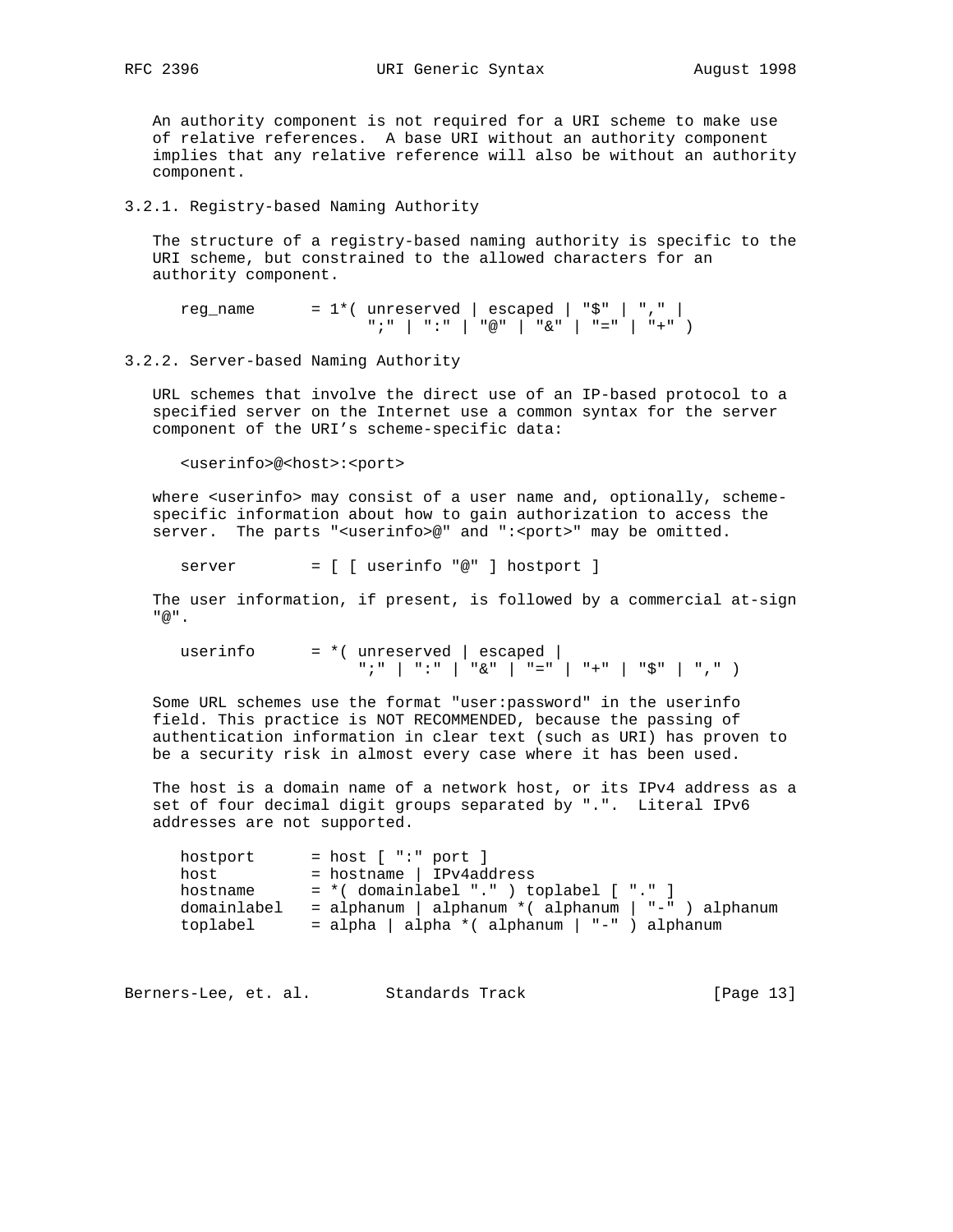An authority component is not required for a URI scheme to make use of relative references. A base URI without an authority component implies that any relative reference will also be without an authority component.

#### 3.2.1. Registry-based Naming Authority

 The structure of a registry-based naming authority is specific to the URI scheme, but constrained to the allowed characters for an authority component.

reg\_name =  $1*($  unreserved | escaped | "\$" | "," | ";" | ":" | "@" | "&" | "=" | "+" )

#### 3.2.2. Server-based Naming Authority

 URL schemes that involve the direct use of an IP-based protocol to a specified server on the Internet use a common syntax for the server component of the URI's scheme-specific data:

<userinfo>@<host>:<port>

where <userinfo> may consist of a user name and, optionally, scheme specific information about how to gain authorization to access the server. The parts "<userinfo>@" and ":<port>" may be omitted.

server = [ [ userinfo "@" ] hostport ]

 The user information, if present, is followed by a commercial at-sign "@".

userinfo  $= *$  (unreserved | escaped |  $\left| \begin{array}{cc} n \text{ } ; & n-1 \\ \end{array} \right| \left| \begin{array}{cc} n \text{ } ; & n-1 \\ \end{array} \right| \left| \begin{array}{cc} n \text{ } \text{ } & n-1 \\ \end{array} \right| \left| \begin{array}{cc} n \text{ } = & n-1 \\ \end{array} \right| \left| \begin{array}{cc} n+ n-1 & n \text{ } \text{ } & n-1 \\ \end{array} \right| \left| \begin{array}{cc} n \text{ } , & n-1 \\ \end{array} \right|$ 

 Some URL schemes use the format "user:password" in the userinfo field. This practice is NOT RECOMMENDED, because the passing of authentication information in clear text (such as URI) has proven to be a security risk in almost every case where it has been used.

 The host is a domain name of a network host, or its IPv4 address as a set of four decimal digit groups separated by ".". Literal IPv6 addresses are not supported.

| hostport    | $=$ host $[$ ":" port $]$                           |
|-------------|-----------------------------------------------------|
| host        | $=$ hostname   IPv4address                          |
| hostname    | $= *$ (domainlabel ".") toplabel [ "." ]            |
| domainlabel | = alphanum   alphanum * ( alphanum   "-" ) alphanum |
| toplabel    | = alpha   alpha * ( alphanum   "-" ) alphanum       |

Berners-Lee, et. al. Standards Track [Page 13]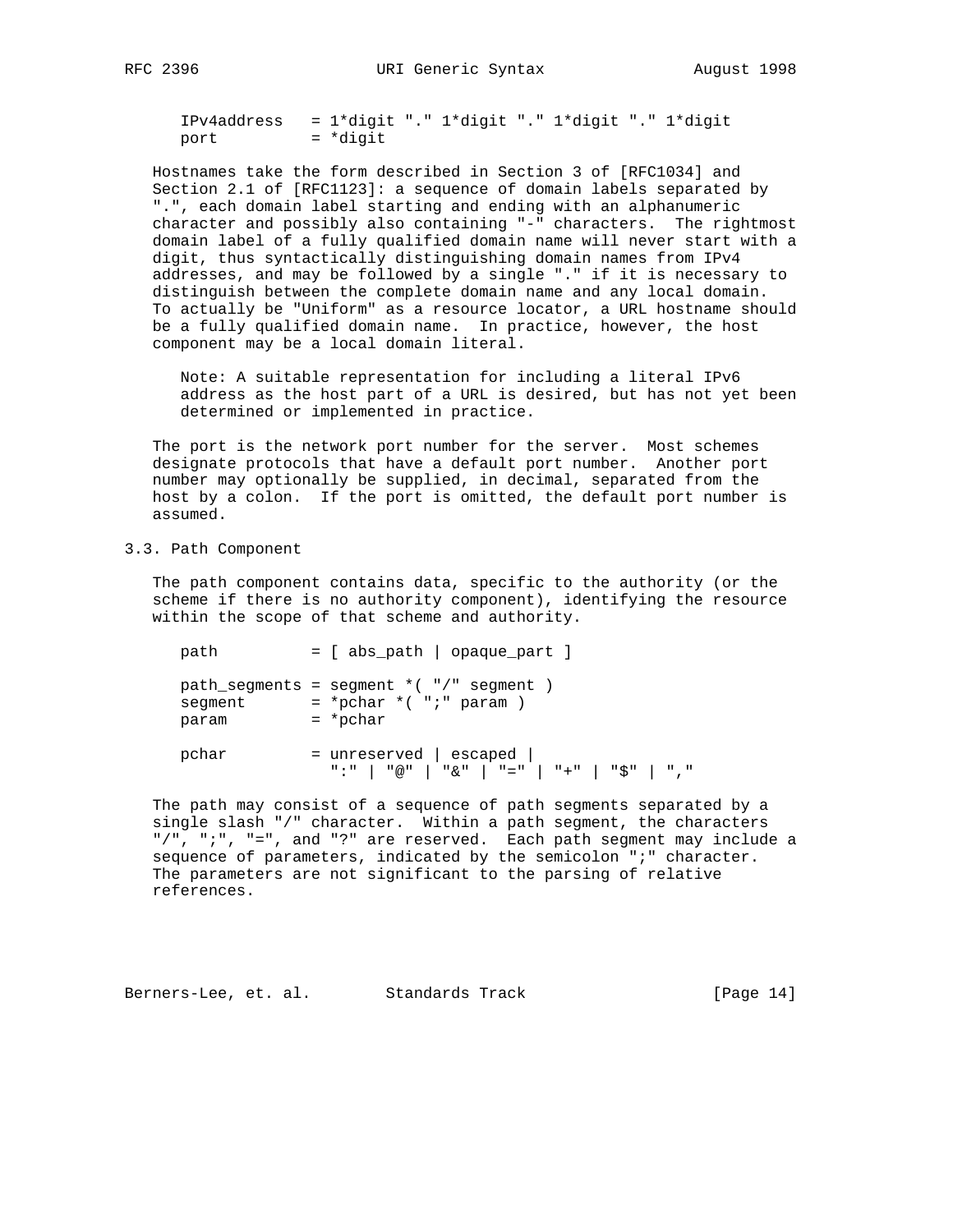IPv4address = 1\*digit "." 1\*digit "." 1\*digit "." 1\*digit port = \*digit

 Hostnames take the form described in Section 3 of [RFC1034] and Section 2.1 of [RFC1123]: a sequence of domain labels separated by ".", each domain label starting and ending with an alphanumeric character and possibly also containing "-" characters. The rightmost domain label of a fully qualified domain name will never start with a digit, thus syntactically distinguishing domain names from IPv4 addresses, and may be followed by a single "." if it is necessary to distinguish between the complete domain name and any local domain. To actually be "Uniform" as a resource locator, a URL hostname should be a fully qualified domain name. In practice, however, the host component may be a local domain literal.

 Note: A suitable representation for including a literal IPv6 address as the host part of a URL is desired, but has not yet been determined or implemented in practice.

 The port is the network port number for the server. Most schemes designate protocols that have a default port number. Another port number may optionally be supplied, in decimal, separated from the host by a colon. If the port is omitted, the default port number is assumed.

# 3.3. Path Component

 The path component contains data, specific to the authority (or the scheme if there is no authority component), identifying the resource within the scope of that scheme and authority.

 path = [ abs\_path | opaque\_part ] path segments = segment  $*( " / ")$  segment ) segment = \*pchar \*( ";" param ) param = \*pchar  $\hbox{pchar}$  = unreserved | escaped | ":" | "@" | "&" | "=" | "+" | "\$" | ","

 The path may consist of a sequence of path segments separated by a single slash "/" character. Within a path segment, the characters "/", ";", "=", and "?" are reserved. Each path segment may include a sequence of parameters, indicated by the semicolon ";" character. The parameters are not significant to the parsing of relative references.

Berners-Lee, et. al. Standards Track [Page 14]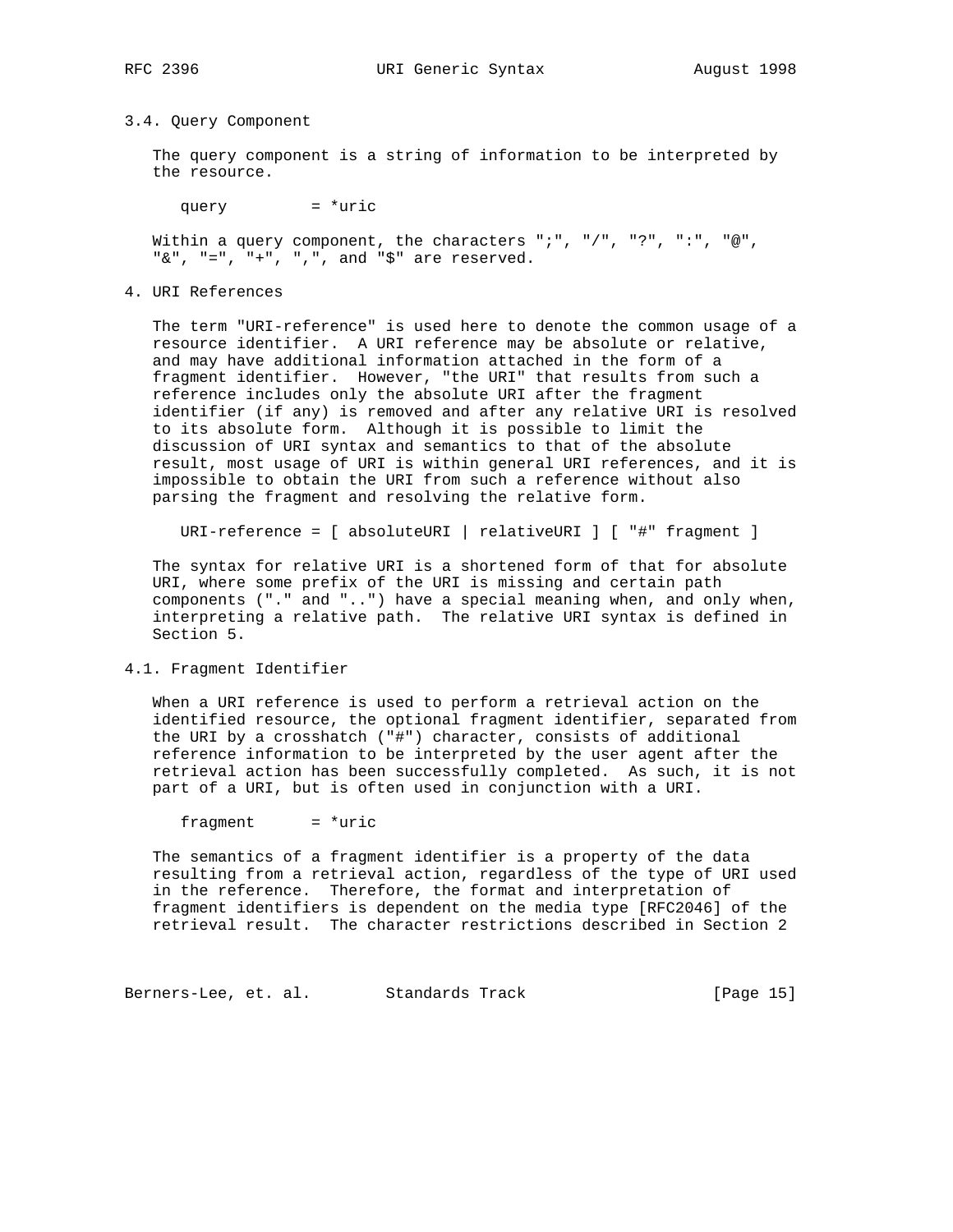#### 3.4. Query Component

 The query component is a string of information to be interpreted by the resource.

query  $=$  \*uric

Within a query component, the characters ";", "/", "?", ":", "@",  $"\&", "='", "+", ",",$  and " $$\text{*}$ " are reserved.

4. URI References

 The term "URI-reference" is used here to denote the common usage of a resource identifier. A URI reference may be absolute or relative, and may have additional information attached in the form of a fragment identifier. However, "the URI" that results from such a reference includes only the absolute URI after the fragment identifier (if any) is removed and after any relative URI is resolved to its absolute form. Although it is possible to limit the discussion of URI syntax and semantics to that of the absolute result, most usage of URI is within general URI references, and it is impossible to obtain the URI from such a reference without also parsing the fragment and resolving the relative form.

URI-reference = [ absoluteURI | relativeURI ] [ "#" fragment ]

 The syntax for relative URI is a shortened form of that for absolute URI, where some prefix of the URI is missing and certain path components ("." and "..") have a special meaning when, and only when, interpreting a relative path. The relative URI syntax is defined in Section 5.

4.1. Fragment Identifier

 When a URI reference is used to perform a retrieval action on the identified resource, the optional fragment identifier, separated from the URI by a crosshatch ("#") character, consists of additional reference information to be interpreted by the user agent after the retrieval action has been successfully completed. As such, it is not part of a URI, but is often used in conjunction with a URI.

 $fragment$  = \*uric

 The semantics of a fragment identifier is a property of the data resulting from a retrieval action, regardless of the type of URI used in the reference. Therefore, the format and interpretation of fragment identifiers is dependent on the media type [RFC2046] of the retrieval result. The character restrictions described in Section 2

Berners-Lee, et. al. Standards Track [Page 15]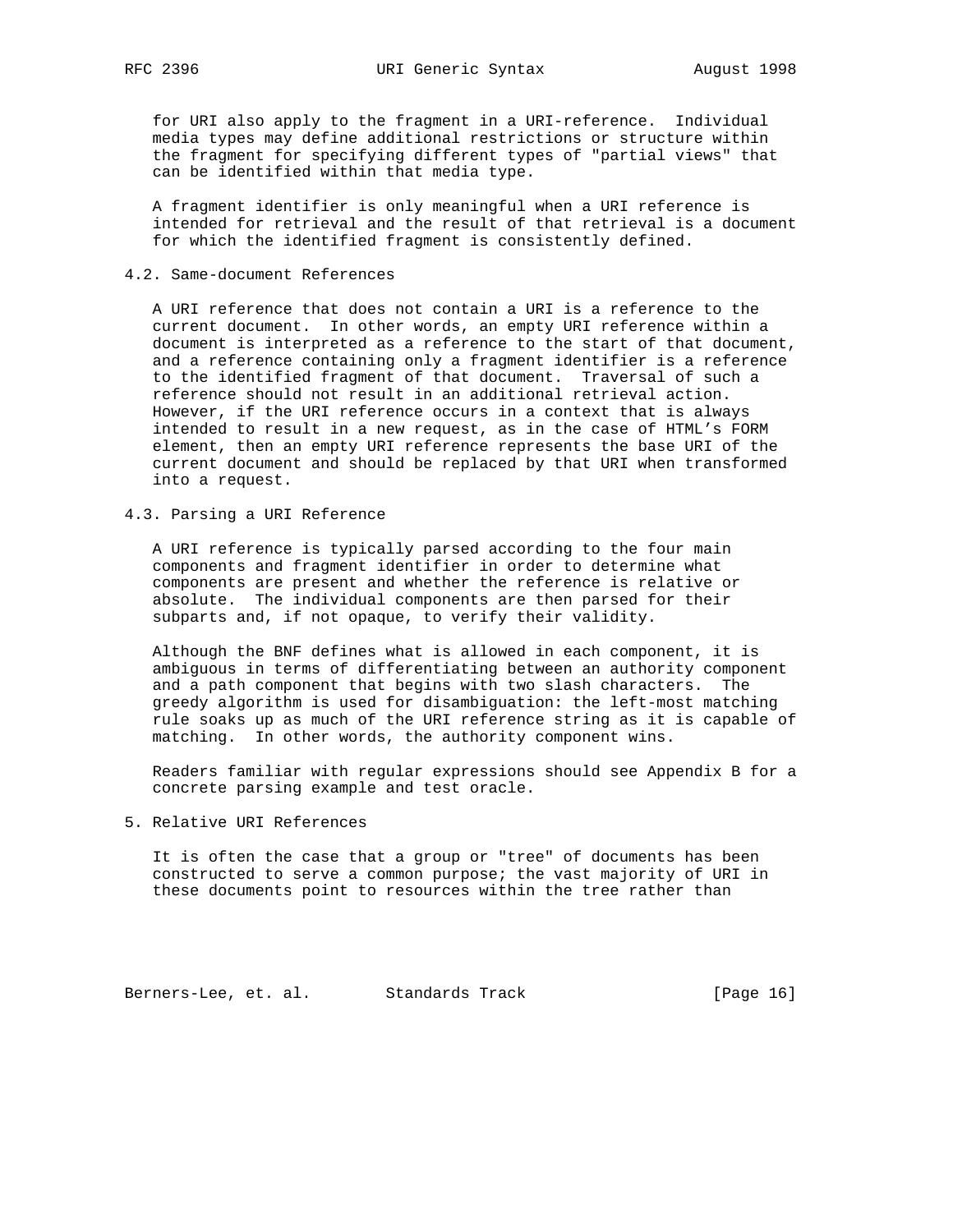for URI also apply to the fragment in a URI-reference. Individual media types may define additional restrictions or structure within the fragment for specifying different types of "partial views" that can be identified within that media type.

 A fragment identifier is only meaningful when a URI reference is intended for retrieval and the result of that retrieval is a document for which the identified fragment is consistently defined.

# 4.2. Same-document References

 A URI reference that does not contain a URI is a reference to the current document. In other words, an empty URI reference within a document is interpreted as a reference to the start of that document, and a reference containing only a fragment identifier is a reference to the identified fragment of that document. Traversal of such a reference should not result in an additional retrieval action. However, if the URI reference occurs in a context that is always intended to result in a new request, as in the case of HTML's FORM element, then an empty URI reference represents the base URI of the current document and should be replaced by that URI when transformed into a request.

4.3. Parsing a URI Reference

 A URI reference is typically parsed according to the four main components and fragment identifier in order to determine what components are present and whether the reference is relative or absolute. The individual components are then parsed for their subparts and, if not opaque, to verify their validity.

 Although the BNF defines what is allowed in each component, it is ambiguous in terms of differentiating between an authority component and a path component that begins with two slash characters. The greedy algorithm is used for disambiguation: the left-most matching rule soaks up as much of the URI reference string as it is capable of matching. In other words, the authority component wins.

 Readers familiar with regular expressions should see Appendix B for a concrete parsing example and test oracle.

5. Relative URI References

 It is often the case that a group or "tree" of documents has been constructed to serve a common purpose; the vast majority of URI in these documents point to resources within the tree rather than

Berners-Lee, et. al. Standards Track (Page 16)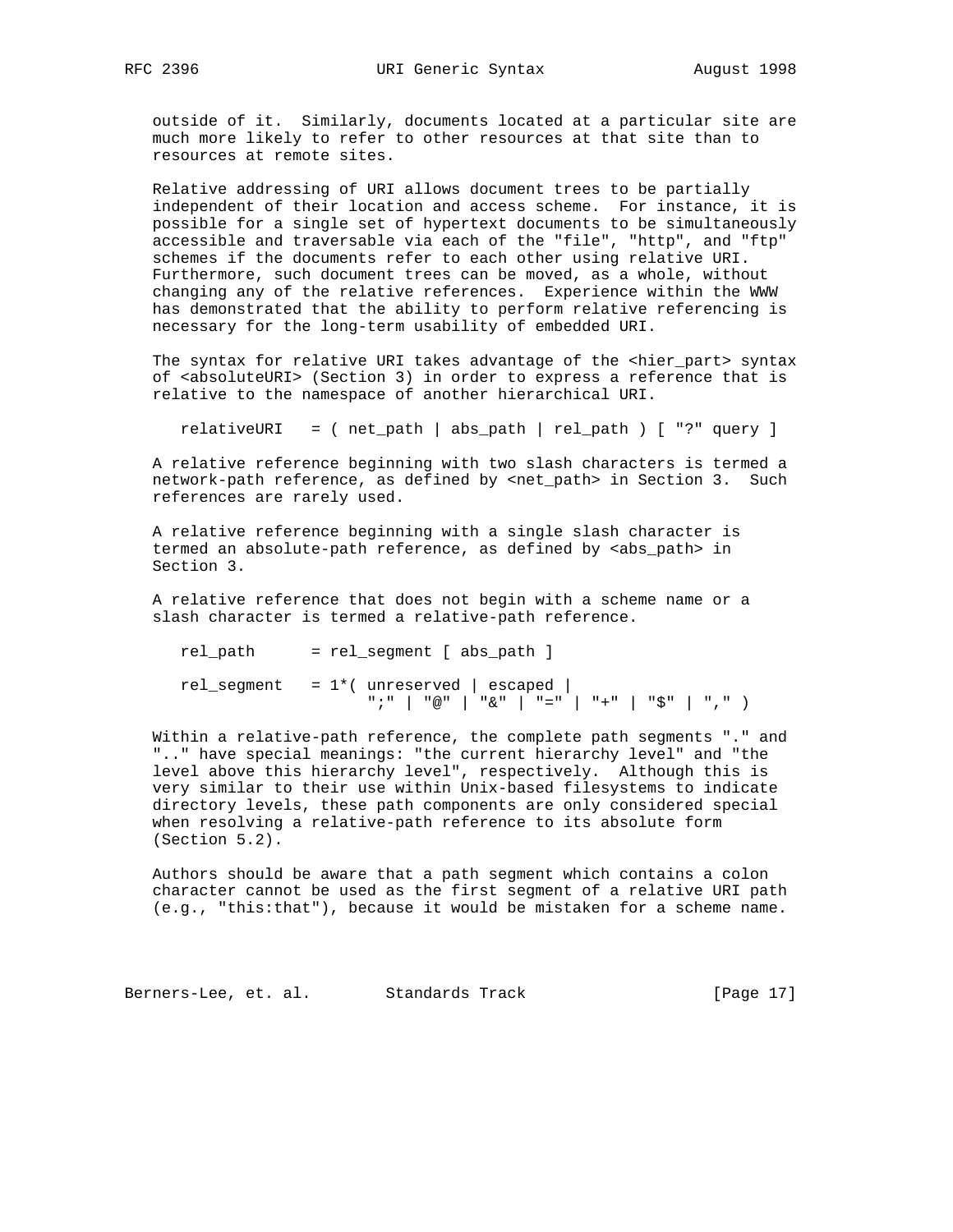outside of it. Similarly, documents located at a particular site are much more likely to refer to other resources at that site than to resources at remote sites.

 Relative addressing of URI allows document trees to be partially independent of their location and access scheme. For instance, it is possible for a single set of hypertext documents to be simultaneously accessible and traversable via each of the "file", "http", and "ftp" schemes if the documents refer to each other using relative URI. Furthermore, such document trees can be moved, as a whole, without changing any of the relative references. Experience within the WWW has demonstrated that the ability to perform relative referencing is necessary for the long-term usability of embedded URI.

The syntax for relative URI takes advantage of the <hier\_part> syntax of <absoluteURI> (Section 3) in order to express a reference that is relative to the namespace of another hierarchical URI.

relativeURI = ( net\_path | abs\_path | rel\_path ) [ "?" query ]

 A relative reference beginning with two slash characters is termed a network-path reference, as defined by <net\_path> in Section 3. Such references are rarely used.

 A relative reference beginning with a single slash character is termed an absolute-path reference, as defined by <abs\_path> in Section 3.

 A relative reference that does not begin with a scheme name or a slash character is termed a relative-path reference.

 rel\_path = rel\_segment [ abs\_path ]  $rel\_segment = 1*($  unreserved | escaped |  $\left[ \begin{array}{cc} n & j & n \\ \end{array} \right] \quad \left[ \begin{array}{cc} n \otimes n & j \\ \end{array} \right] \quad \left[ \begin{array}{cc} n \otimes n & j \\ \end{array} \right] \quad \left[ \begin{array}{cc} n = n & j \\ \end{array} \right] \quad \left[ \begin{array}{cc} n + n & j \\ \end{array} \right] \quad \left[ \begin{array}{cc} n \otimes n & j \\ \end{array} \right] \quad \left[ \begin{array}{cc} n & j \\ \end{array} \right] \end{array} \right]$ 

 Within a relative-path reference, the complete path segments "." and ".." have special meanings: "the current hierarchy level" and "the level above this hierarchy level", respectively. Although this is very similar to their use within Unix-based filesystems to indicate directory levels, these path components are only considered special when resolving a relative-path reference to its absolute form (Section 5.2).

 Authors should be aware that a path segment which contains a colon character cannot be used as the first segment of a relative URI path (e.g., "this:that"), because it would be mistaken for a scheme name.

Berners-Lee, et. al. Standards Track [Page 17]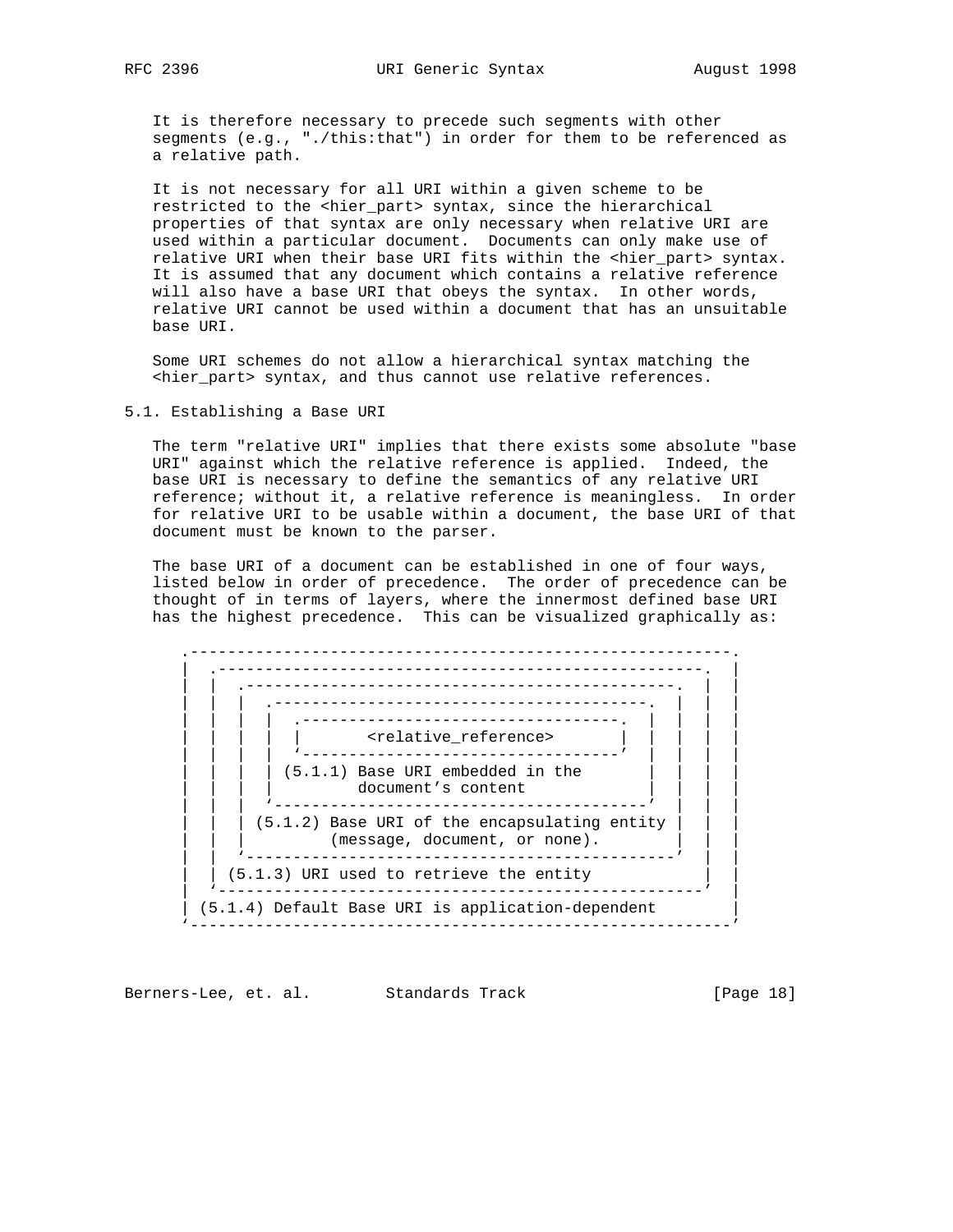It is therefore necessary to precede such segments with other segments (e.g., "./this:that") in order for them to be referenced as a relative path.

 It is not necessary for all URI within a given scheme to be restricted to the <hier\_part> syntax, since the hierarchical properties of that syntax are only necessary when relative URI are used within a particular document. Documents can only make use of relative URI when their base URI fits within the <hier\_part> syntax. It is assumed that any document which contains a relative reference will also have a base URI that obeys the syntax. In other words, relative URI cannot be used within a document that has an unsuitable base URI.

 Some URI schemes do not allow a hierarchical syntax matching the <hier\_part> syntax, and thus cannot use relative references.

5.1. Establishing a Base URI

 The term "relative URI" implies that there exists some absolute "base URI" against which the relative reference is applied. Indeed, the base URI is necessary to define the semantics of any relative URI reference; without it, a relative reference is meaningless. In order for relative URI to be usable within a document, the base URI of that document must be known to the parser.

 The base URI of a document can be established in one of four ways, listed below in order of precedence. The order of precedence can be thought of in terms of layers, where the innermost defined base URI has the highest precedence. This can be visualized graphically as:



Berners-Lee, et. al. Standards Track [Page 18]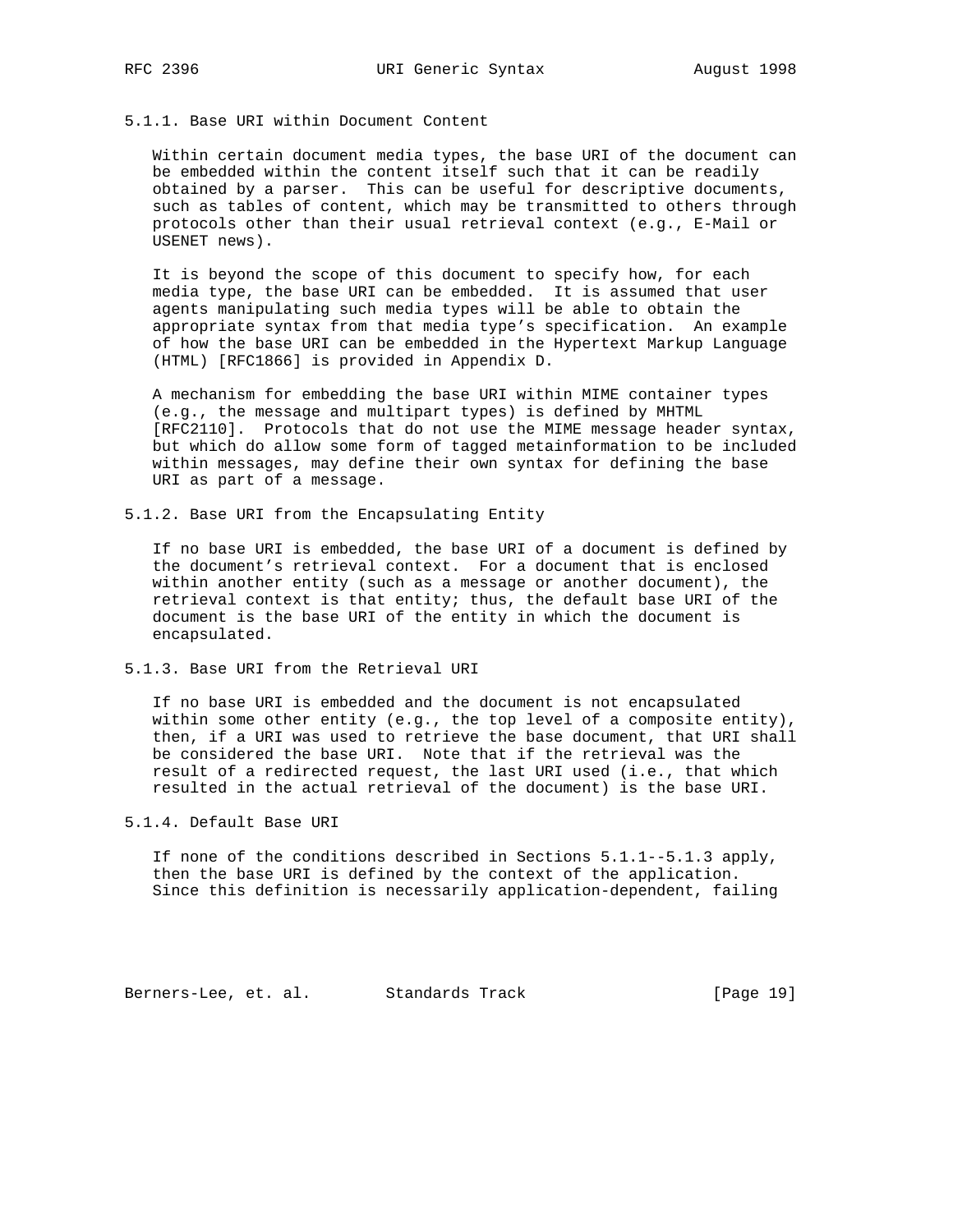# 5.1.1. Base URI within Document Content

 Within certain document media types, the base URI of the document can be embedded within the content itself such that it can be readily obtained by a parser. This can be useful for descriptive documents, such as tables of content, which may be transmitted to others through protocols other than their usual retrieval context (e.g., E-Mail or USENET news).

 It is beyond the scope of this document to specify how, for each media type, the base URI can be embedded. It is assumed that user agents manipulating such media types will be able to obtain the appropriate syntax from that media type's specification. An example of how the base URI can be embedded in the Hypertext Markup Language (HTML) [RFC1866] is provided in Appendix D.

 A mechanism for embedding the base URI within MIME container types (e.g., the message and multipart types) is defined by MHTML [RFC2110]. Protocols that do not use the MIME message header syntax, but which do allow some form of tagged metainformation to be included within messages, may define their own syntax for defining the base URI as part of a message.

5.1.2. Base URI from the Encapsulating Entity

 If no base URI is embedded, the base URI of a document is defined by the document's retrieval context. For a document that is enclosed within another entity (such as a message or another document), the retrieval context is that entity; thus, the default base URI of the document is the base URI of the entity in which the document is encapsulated.

5.1.3. Base URI from the Retrieval URI

 If no base URI is embedded and the document is not encapsulated within some other entity (e.g., the top level of a composite entity), then, if a URI was used to retrieve the base document, that URI shall be considered the base URI. Note that if the retrieval was the result of a redirected request, the last URI used (i.e., that which resulted in the actual retrieval of the document) is the base URI.

5.1.4. Default Base URI

If none of the conditions described in Sections  $5.1.1--5.1.3$  apply, then the base URI is defined by the context of the application. Since this definition is necessarily application-dependent, failing

Berners-Lee, et. al. Standards Track [Page 19]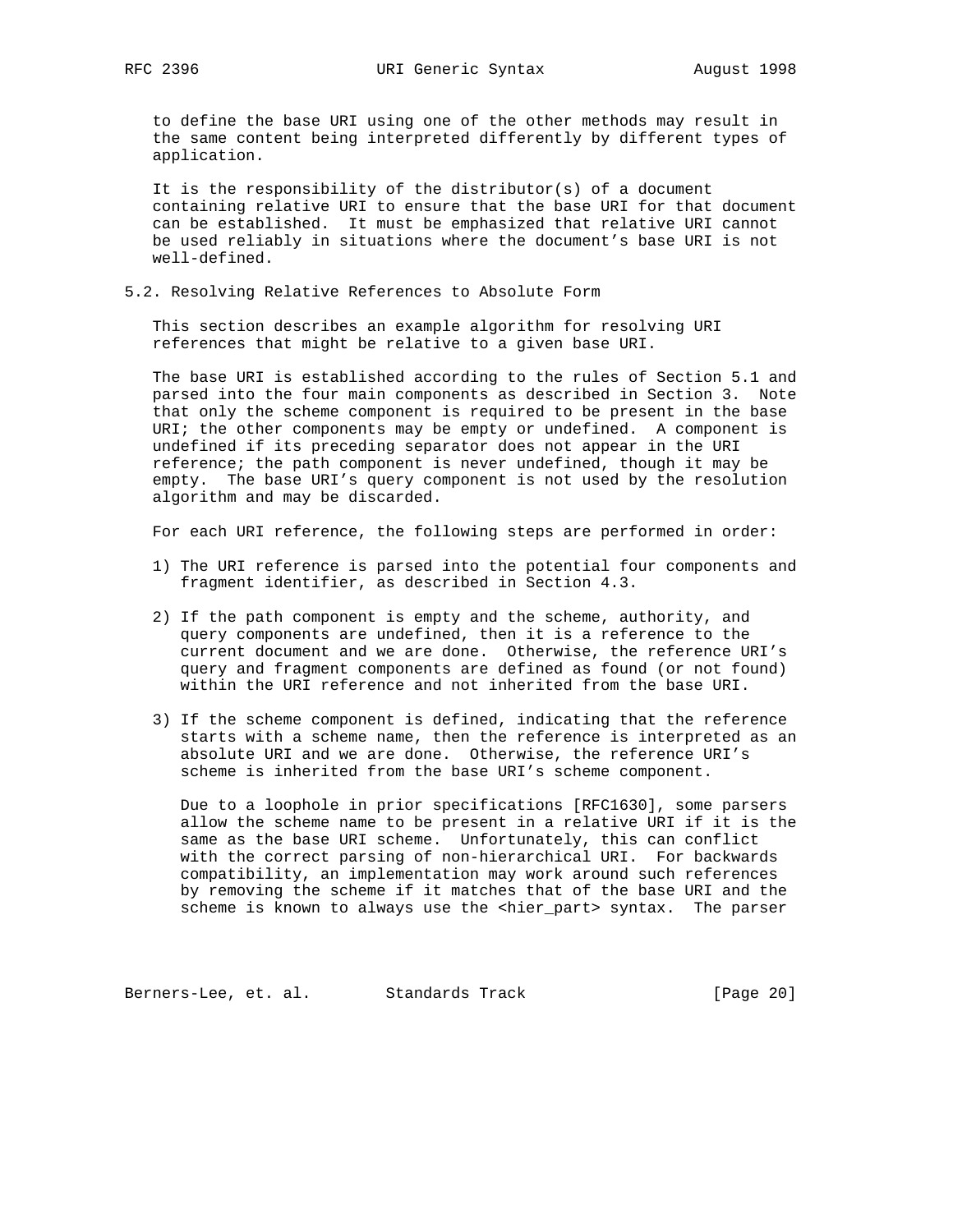to define the base URI using one of the other methods may result in the same content being interpreted differently by different types of application.

 It is the responsibility of the distributor(s) of a document containing relative URI to ensure that the base URI for that document can be established. It must be emphasized that relative URI cannot be used reliably in situations where the document's base URI is not well-defined.

5.2. Resolving Relative References to Absolute Form

 This section describes an example algorithm for resolving URI references that might be relative to a given base URI.

 The base URI is established according to the rules of Section 5.1 and parsed into the four main components as described in Section 3. Note that only the scheme component is required to be present in the base URI; the other components may be empty or undefined. A component is undefined if its preceding separator does not appear in the URI reference; the path component is never undefined, though it may be empty. The base URI's query component is not used by the resolution algorithm and may be discarded.

For each URI reference, the following steps are performed in order:

- 1) The URI reference is parsed into the potential four components and fragment identifier, as described in Section 4.3.
- 2) If the path component is empty and the scheme, authority, and query components are undefined, then it is a reference to the current document and we are done. Otherwise, the reference URI's query and fragment components are defined as found (or not found) within the URI reference and not inherited from the base URI.
- 3) If the scheme component is defined, indicating that the reference starts with a scheme name, then the reference is interpreted as an absolute URI and we are done. Otherwise, the reference URI's scheme is inherited from the base URI's scheme component.

 Due to a loophole in prior specifications [RFC1630], some parsers allow the scheme name to be present in a relative URI if it is the same as the base URI scheme. Unfortunately, this can conflict with the correct parsing of non-hierarchical URI. For backwards compatibility, an implementation may work around such references by removing the scheme if it matches that of the base URI and the scheme is known to always use the <hier\_part> syntax. The parser

Berners-Lee, et. al. Standards Track [Page 20]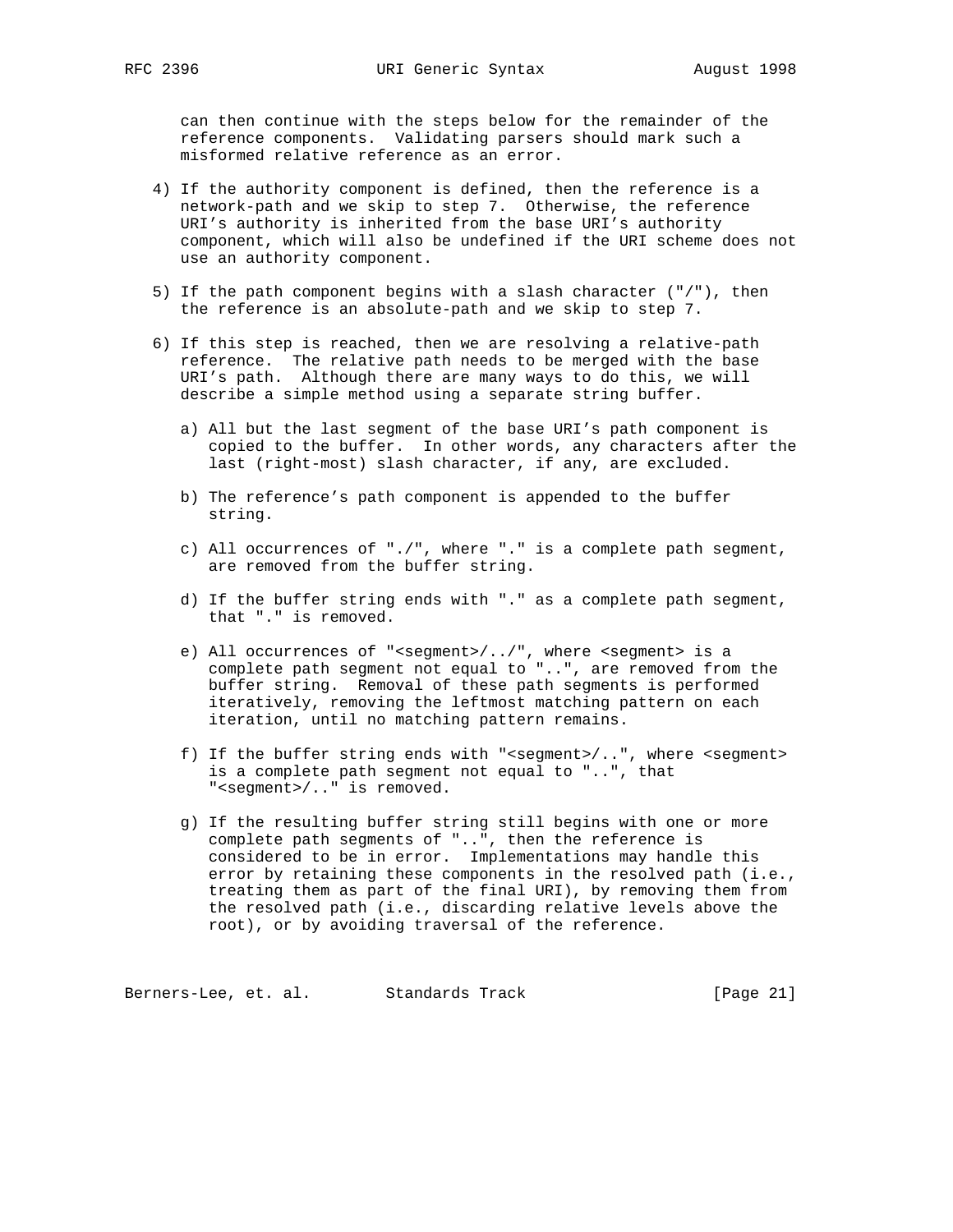can then continue with the steps below for the remainder of the reference components. Validating parsers should mark such a misformed relative reference as an error.

- 4) If the authority component is defined, then the reference is a network-path and we skip to step 7. Otherwise, the reference URI's authority is inherited from the base URI's authority component, which will also be undefined if the URI scheme does not use an authority component.
- 5) If the path component begins with a slash character ("/"), then the reference is an absolute-path and we skip to step 7.
- 6) If this step is reached, then we are resolving a relative-path reference. The relative path needs to be merged with the base URI's path. Although there are many ways to do this, we will describe a simple method using a separate string buffer.
	- a) All but the last segment of the base URI's path component is copied to the buffer. In other words, any characters after the last (right-most) slash character, if any, are excluded.
	- b) The reference's path component is appended to the buffer string.
	- c) All occurrences of "./", where "." is a complete path segment, are removed from the buffer string.
	- d) If the buffer string ends with "." as a complete path segment, that "." is removed.
	- e) All occurrences of "<segment>/../", where <segment> is a complete path segment not equal to "..", are removed from the buffer string. Removal of these path segments is performed iteratively, removing the leftmost matching pattern on each iteration, until no matching pattern remains.
	- f) If the buffer string ends with "<segment>/..", where <segment> is a complete path segment not equal to "..", that "<segment>/.." is removed.
	- g) If the resulting buffer string still begins with one or more complete path segments of "..", then the reference is considered to be in error. Implementations may handle this error by retaining these components in the resolved path (i.e., treating them as part of the final URI), by removing them from the resolved path (i.e., discarding relative levels above the root), or by avoiding traversal of the reference.

Berners-Lee, et. al. Standards Track [Page 21]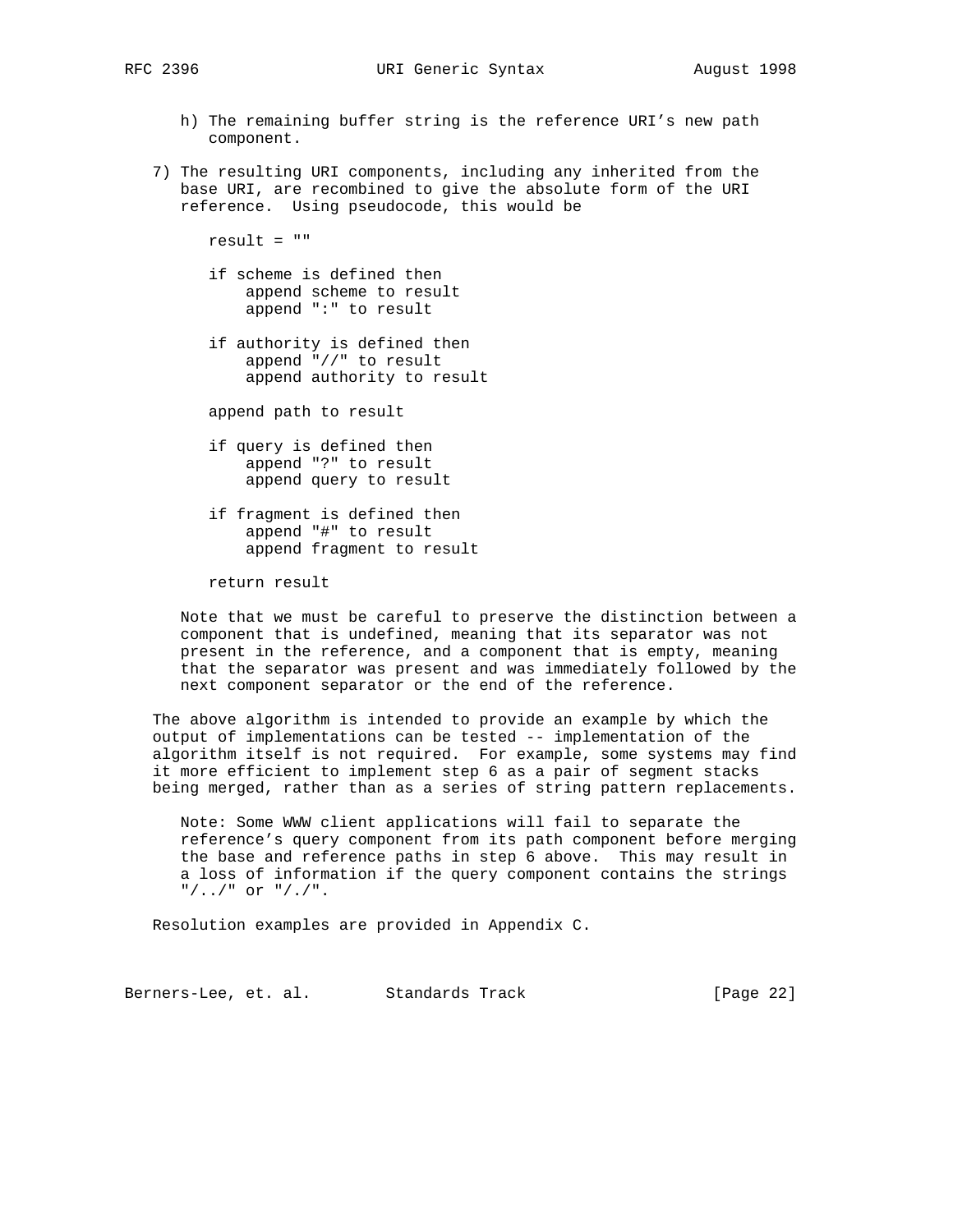- h) The remaining buffer string is the reference URI's new path component.
- 7) The resulting URI components, including any inherited from the base URI, are recombined to give the absolute form of the URI reference. Using pseudocode, this would be

result = ""

- if scheme is defined then append scheme to result append ":" to result
- if authority is defined then append "//" to result append authority to result

append path to result

- if query is defined then append "?" to result append query to result
- if fragment is defined then append "#" to result append fragment to result

return result

 Note that we must be careful to preserve the distinction between a component that is undefined, meaning that its separator was not present in the reference, and a component that is empty, meaning that the separator was present and was immediately followed by the next component separator or the end of the reference.

 The above algorithm is intended to provide an example by which the output of implementations can be tested -- implementation of the algorithm itself is not required. For example, some systems may find it more efficient to implement step 6 as a pair of segment stacks being merged, rather than as a series of string pattern replacements.

 Note: Some WWW client applications will fail to separate the reference's query component from its path component before merging the base and reference paths in step 6 above. This may result in a loss of information if the query component contains the strings  $"/.'.]'$  or  $"/.'$ .

Resolution examples are provided in Appendix C.

Berners-Lee, et. al. Standards Track [Page 22]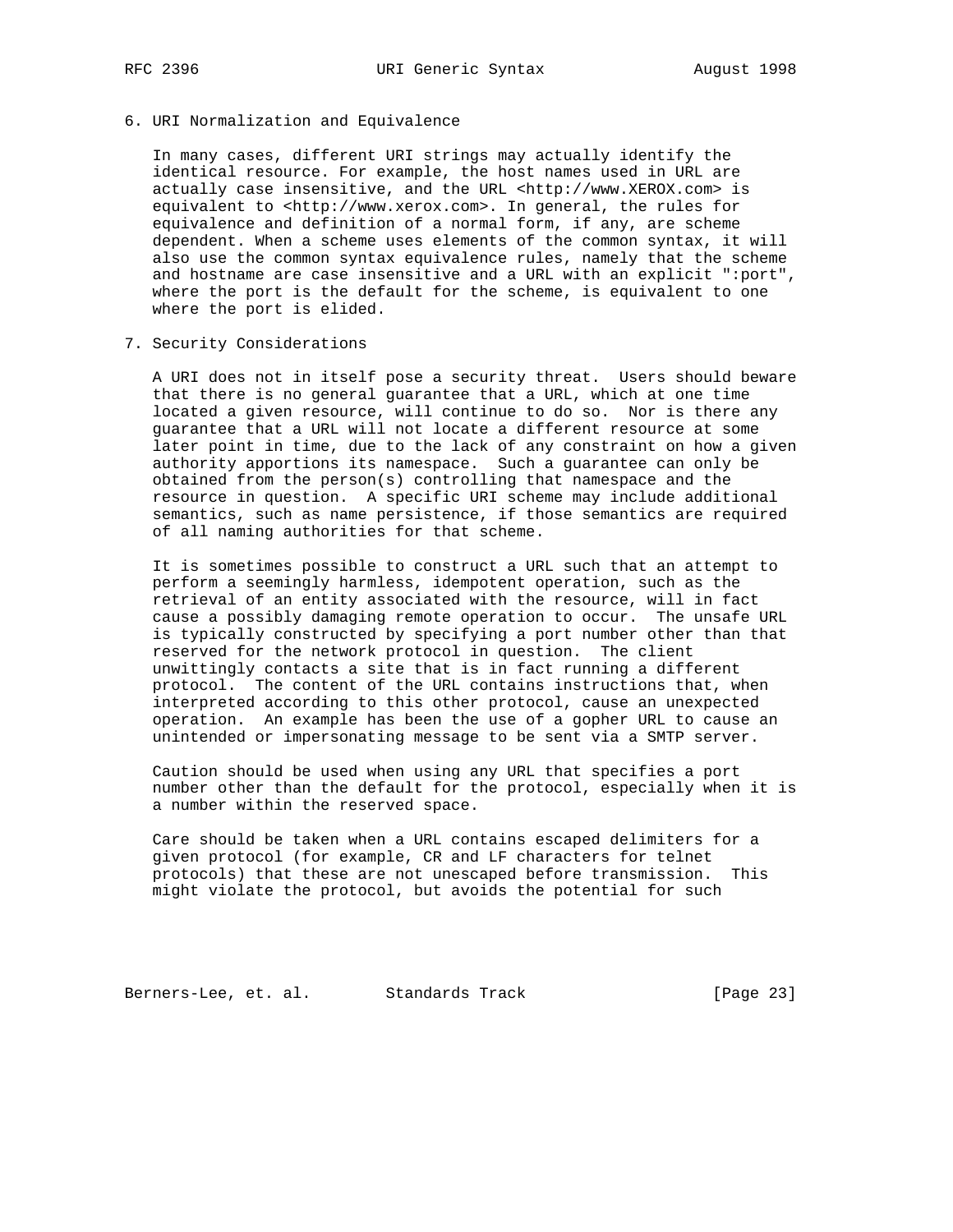6. URI Normalization and Equivalence

 In many cases, different URI strings may actually identify the identical resource. For example, the host names used in URL are actually case insensitive, and the URL <http://www.XEROX.com> is equivalent to <http://www.xerox.com>. In general, the rules for equivalence and definition of a normal form, if any, are scheme dependent. When a scheme uses elements of the common syntax, it will also use the common syntax equivalence rules, namely that the scheme and hostname are case insensitive and a URL with an explicit ":port", where the port is the default for the scheme, is equivalent to one where the port is elided.

7. Security Considerations

 A URI does not in itself pose a security threat. Users should beware that there is no general guarantee that a URL, which at one time located a given resource, will continue to do so. Nor is there any guarantee that a URL will not locate a different resource at some later point in time, due to the lack of any constraint on how a given authority apportions its namespace. Such a guarantee can only be obtained from the person(s) controlling that namespace and the resource in question. A specific URI scheme may include additional semantics, such as name persistence, if those semantics are required of all naming authorities for that scheme.

 It is sometimes possible to construct a URL such that an attempt to perform a seemingly harmless, idempotent operation, such as the retrieval of an entity associated with the resource, will in fact cause a possibly damaging remote operation to occur. The unsafe URL is typically constructed by specifying a port number other than that reserved for the network protocol in question. The client unwittingly contacts a site that is in fact running a different protocol. The content of the URL contains instructions that, when interpreted according to this other protocol, cause an unexpected operation. An example has been the use of a gopher URL to cause an unintended or impersonating message to be sent via a SMTP server.

 Caution should be used when using any URL that specifies a port number other than the default for the protocol, especially when it is a number within the reserved space.

 Care should be taken when a URL contains escaped delimiters for a given protocol (for example, CR and LF characters for telnet protocols) that these are not unescaped before transmission. This might violate the protocol, but avoids the potential for such

Berners-Lee, et. al. Standards Track [Page 23]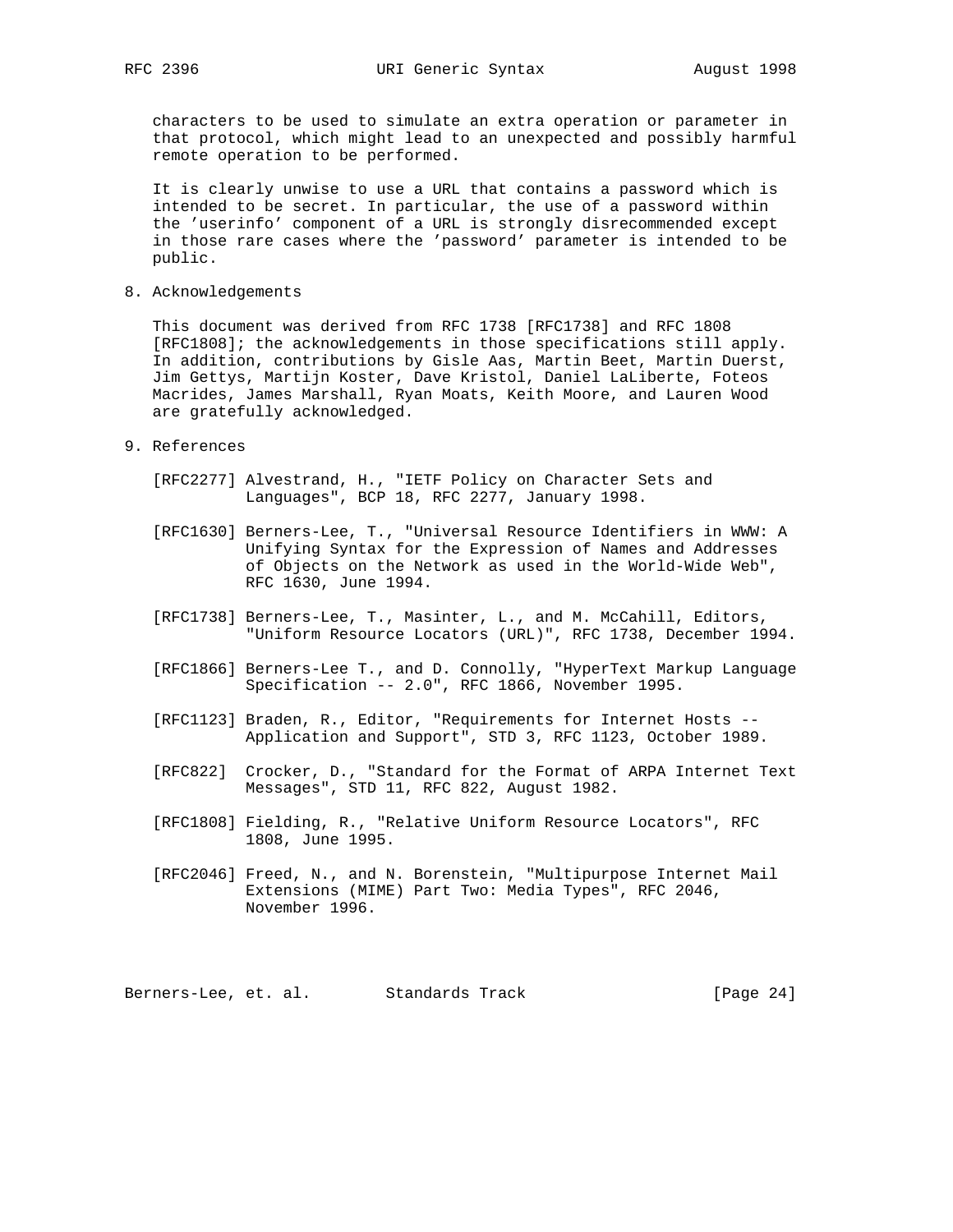characters to be used to simulate an extra operation or parameter in that protocol, which might lead to an unexpected and possibly harmful remote operation to be performed.

 It is clearly unwise to use a URL that contains a password which is intended to be secret. In particular, the use of a password within the 'userinfo' component of a URL is strongly disrecommended except in those rare cases where the 'password' parameter is intended to be public.

8. Acknowledgements

 This document was derived from RFC 1738 [RFC1738] and RFC 1808 [RFC1808]; the acknowledgements in those specifications still apply. In addition, contributions by Gisle Aas, Martin Beet, Martin Duerst, Jim Gettys, Martijn Koster, Dave Kristol, Daniel LaLiberte, Foteos Macrides, James Marshall, Ryan Moats, Keith Moore, and Lauren Wood are gratefully acknowledged.

- 9. References
	- [RFC2277] Alvestrand, H., "IETF Policy on Character Sets and Languages", BCP 18, RFC 2277, January 1998.
	- [RFC1630] Berners-Lee, T., "Universal Resource Identifiers in WWW: A Unifying Syntax for the Expression of Names and Addresses of Objects on the Network as used in the World-Wide Web", RFC 1630, June 1994.
	- [RFC1738] Berners-Lee, T., Masinter, L., and M. McCahill, Editors, "Uniform Resource Locators (URL)", RFC 1738, December 1994.
	- [RFC1866] Berners-Lee T., and D. Connolly, "HyperText Markup Language Specification -- 2.0", RFC 1866, November 1995.
	- [RFC1123] Braden, R., Editor, "Requirements for Internet Hosts -- Application and Support", STD 3, RFC 1123, October 1989.
	- [RFC822] Crocker, D., "Standard for the Format of ARPA Internet Text Messages", STD 11, RFC 822, August 1982.
	- [RFC1808] Fielding, R., "Relative Uniform Resource Locators", RFC 1808, June 1995.
	- [RFC2046] Freed, N., and N. Borenstein, "Multipurpose Internet Mail Extensions (MIME) Part Two: Media Types", RFC 2046, November 1996.

Berners-Lee, et. al. Standards Track (Page 24)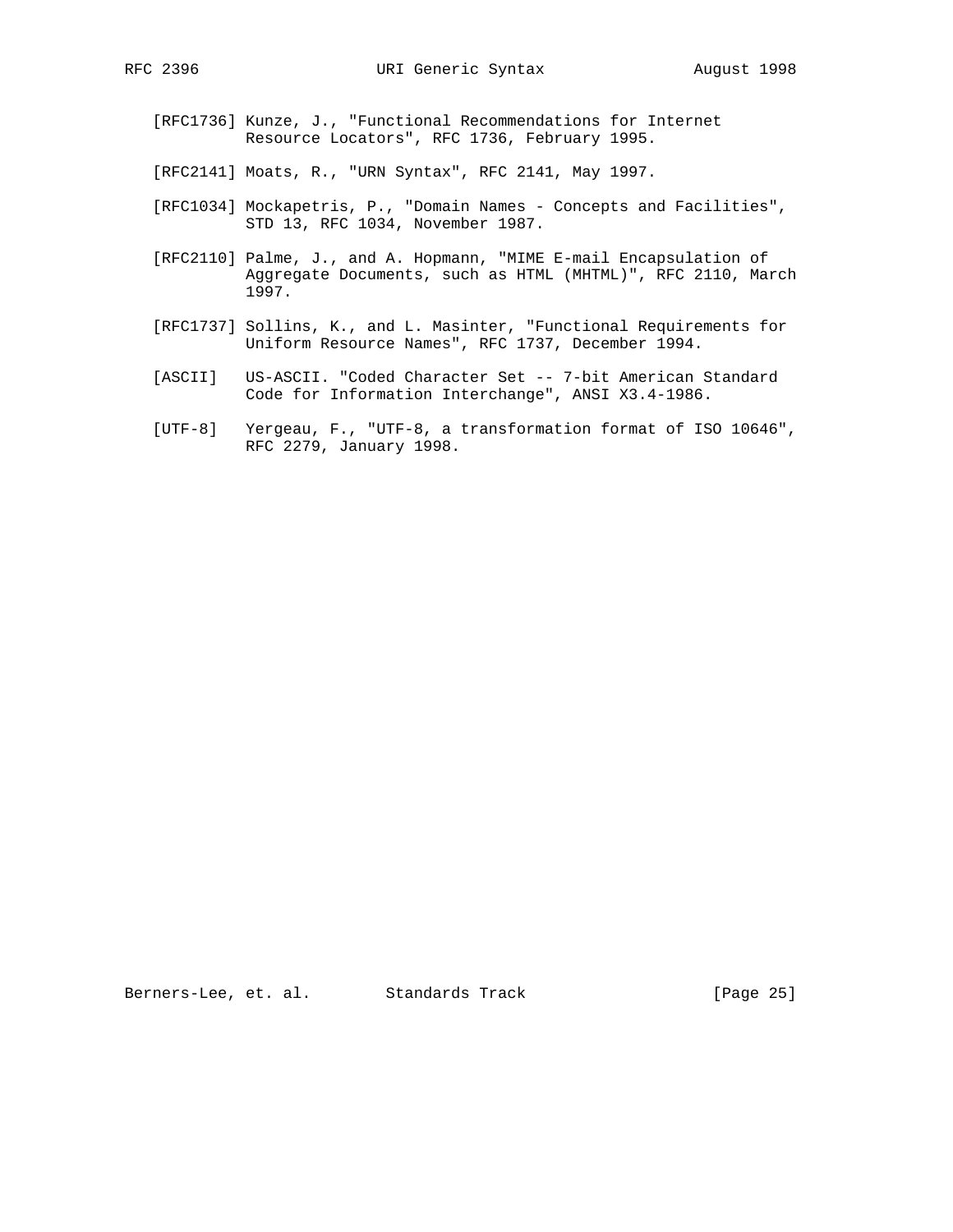- [RFC1736] Kunze, J., "Functional Recommendations for Internet Resource Locators", RFC 1736, February 1995.
- [RFC2141] Moats, R., "URN Syntax", RFC 2141, May 1997.
- [RFC1034] Mockapetris, P., "Domain Names Concepts and Facilities", STD 13, RFC 1034, November 1987.
- [RFC2110] Palme, J., and A. Hopmann, "MIME E-mail Encapsulation of Aggregate Documents, such as HTML (MHTML)", RFC 2110, March 1997.
- [RFC1737] Sollins, K., and L. Masinter, "Functional Requirements for Uniform Resource Names", RFC 1737, December 1994.
- [ASCII] US-ASCII. "Coded Character Set -- 7-bit American Standard Code for Information Interchange", ANSI X3.4-1986.
- [UTF-8] Yergeau, F., "UTF-8, a transformation format of ISO 10646", RFC 2279, January 1998.

Berners-Lee, et. al. Standards Track [Page 25]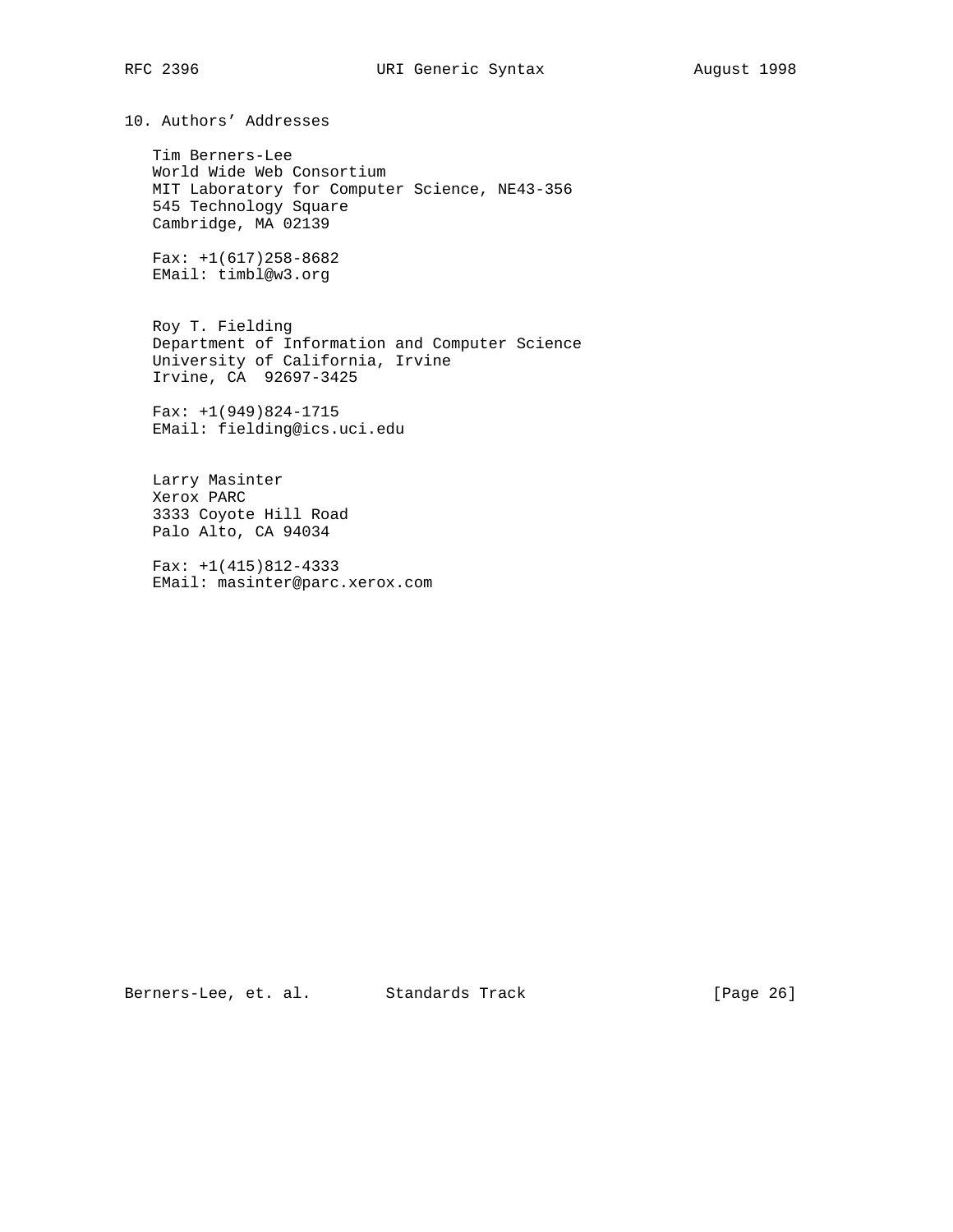10. Authors' Addresses

 Tim Berners-Lee World Wide Web Consortium MIT Laboratory for Computer Science, NE43-356 545 Technology Square Cambridge, MA 02139

Fax:  $+1(617)258-8682$ EMail: timbl@w3.org

 Roy T. Fielding Department of Information and Computer Science University of California, Irvine Irvine, CA 92697-3425

 Fax: +1(949)824-1715 EMail: fielding@ics.uci.edu

 Larry Masinter Xerox PARC 3333 Coyote Hill Road Palo Alto, CA 94034

 Fax: +1(415)812-4333 EMail: masinter@parc.xerox.com

Berners-Lee, et. al. Standards Track [Page 26]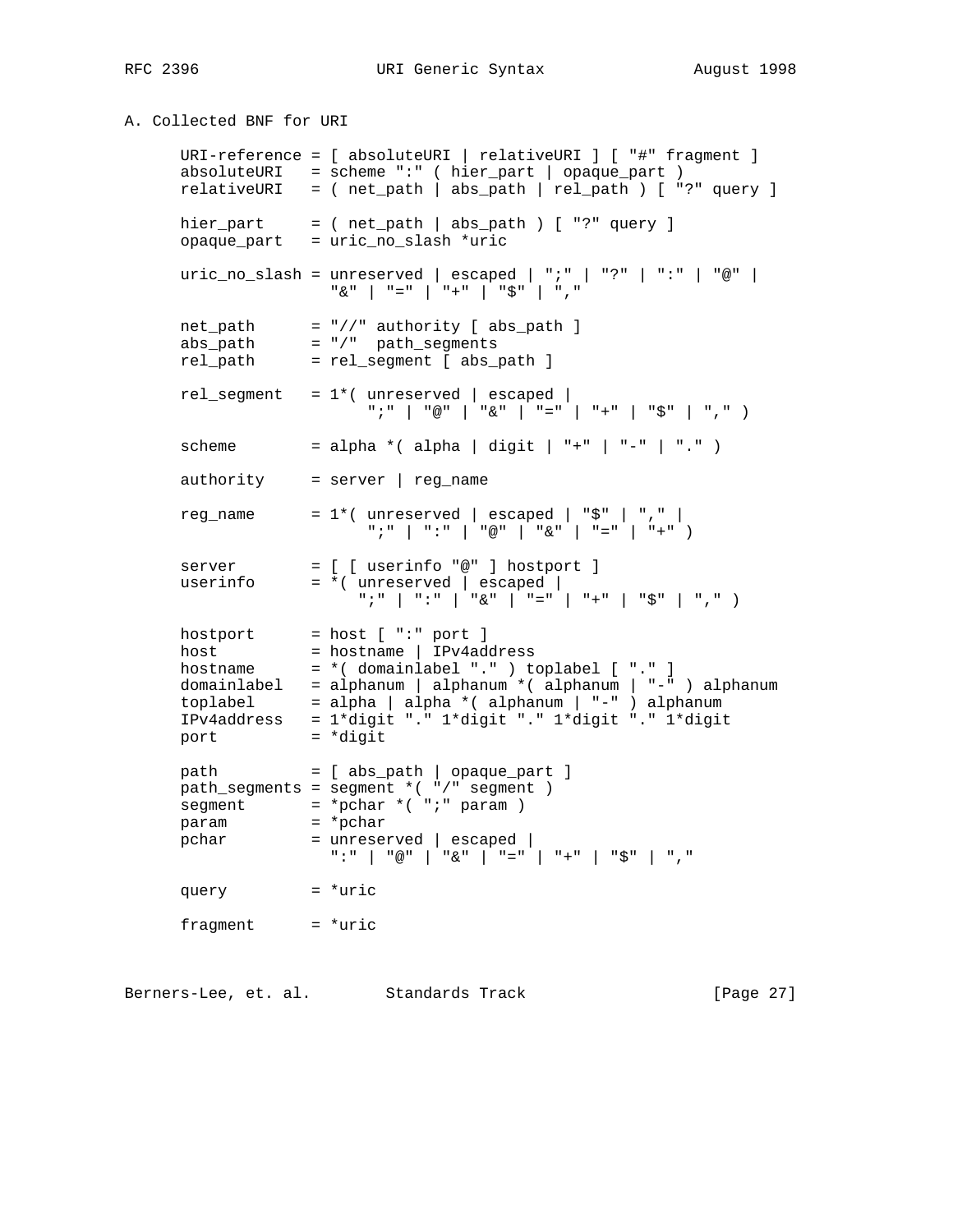RFC 2396 URI Generic Syntax August 1998

A. Collected BNF for URI

 URI-reference = [ absoluteURI | relativeURI ] [ "#" fragment ] absoluteURI = scheme ":" ( hier\_part | opaque\_part ) relativeURI = ( net\_path | abs\_path | rel\_path ) [ "?" query ] hier\_part = ( $net\_path$  |  $abs\_path$ ) [ "?"  $query$ ] opaque\_part = uric\_no\_slash \*uric uric\_no\_slash = unreserved | escaped | ";" | "?" | ":" | "@" | "&" | "=" | "+" | "\$" | "," net\_path = "//" authority [ abs\_path ] abs\_path = "/" path\_segments rel\_path = rel\_segment [ abs\_path ] rel\_segment = 1\*( unreserved | escaped | ";" | "@" | "&" | "=" | "+" | "\$" | "," ) scheme = alpha \*( alpha | digit | "+" | "-" | "." ) authority = server | reg\_name reg\_name =  $1*($  unreserved | escaped | " $$$ " | "," | ";" | ":" | "@" | "&" | "=" | "+" ) server = [ [ userinfo "@" ] hostport ] userinfo = \*( unreserved | escaped |  $\text{``}\; \text{''} \; \text{''} \; \text{''} \; \text{''} \; \text{''} \; \text{''} \; \text{''} \; \text{''} \; \text{''} \; \text{''} \; \text{''} \; \text{''} \; \text{''} \; \text{''} \; \text{''} \; \text{''} \; \text{''} \; \text{''} \; \text{''} \; \text{''} \; \text{''} \; \text{''} \; \text{''} \; \text{''} \; \text{''} \; \text{''} \; \text{''} \; \text{''} \; \text{''} \; \text{''} \; \text{''$  $hostport = host [ "::" port ]$ host = hostname | IPv4address hostname = \*( domainlabel "." ) toplabel [ "." ] domainlabel = alphanum | alphanum \*( alphanum | "-" ) alphanum toplabel = alpha | alpha \*( alphanum | "-" ) alphanum IPv4address = 1\*digit "." 1\*digit "." 1\*digit "." 1\*digit port = \*digit path = [ abs\_path | opaque\_part ] path\_segments = segment \*( "/" segment ) segment = \*pchar \*( ";" param ) param = \*pchar pchar = unreserved | escaped | ":" | "@" | "&" | "=" | "+" | "\$" | "," query = \*uric  $fragment$  = \*uric

Berners-Lee, et. al. Standards Track (Page 27)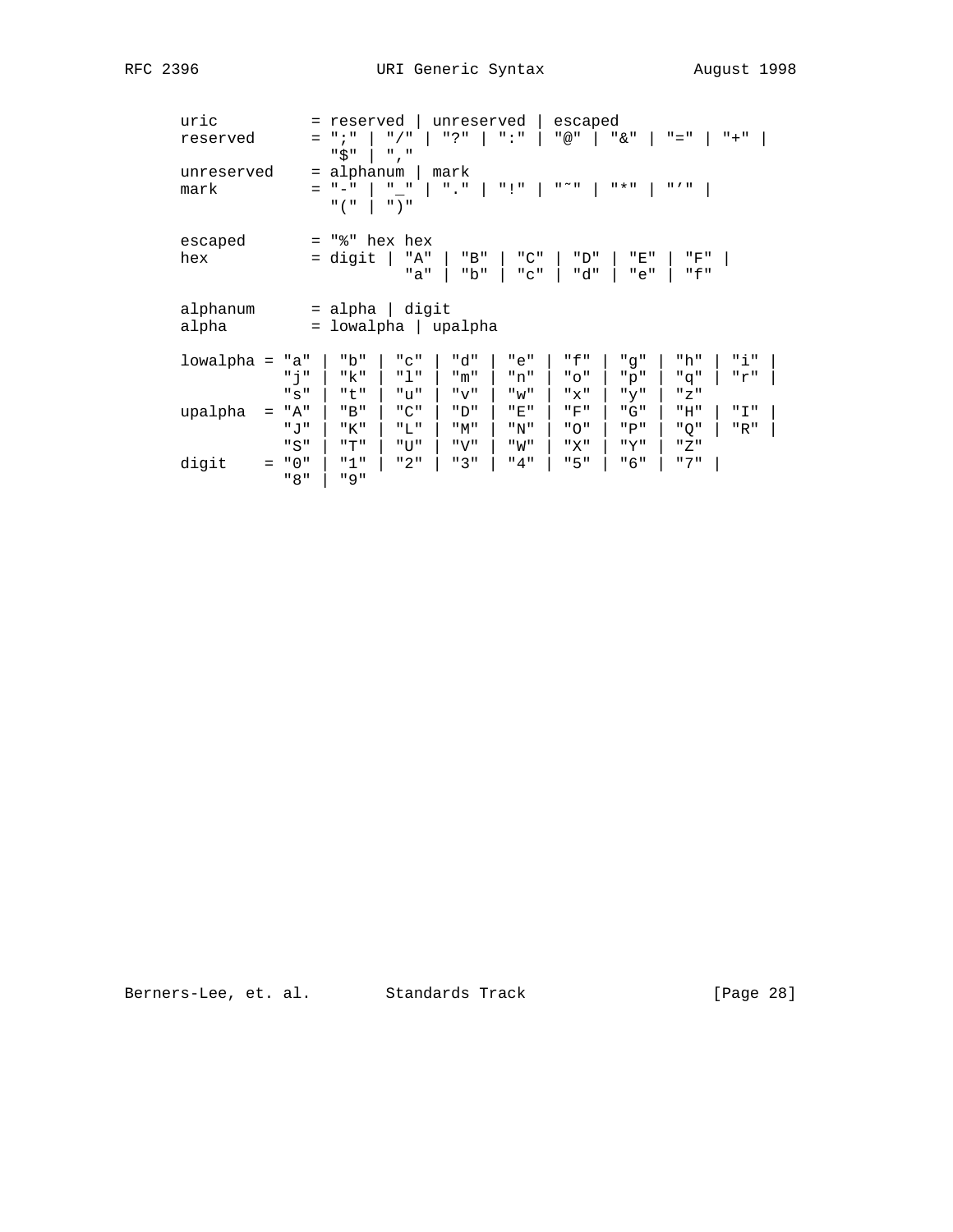| uric<br>reserved<br>unreserved<br>mark | reserved<br>$=$<br>$"$ ; "<br>$"$ / $"$<br>$=$<br>"\$"<br>$"$ , $"$<br>alphanum<br>$=$<br>$\mathbf{u} = \mathbf{u}$<br>$^{\mathrm{II}}$ $ ^{\mathrm{II}}$<br>" ( "<br>$"$ ) " | unreserved<br>" ? "<br>$\mathbf{u}$ : $\mathbf{u}$<br>mark<br>$"$ . $"$<br>" I" | escaped<br>" @ "<br>" & "<br>$\mathbf{u} \sim \mathbf{u}$<br>11 * 11 | $" = "$<br>$" + "$<br>$\mathbf{H}$ $I$ $\mathbf{H}$ |
|----------------------------------------|-------------------------------------------------------------------------------------------------------------------------------------------------------------------------------|---------------------------------------------------------------------------------|----------------------------------------------------------------------|-----------------------------------------------------|
| escaped<br>hex                         | "%" hex hex<br>$=$<br>"A"<br>= digit<br>"a"                                                                                                                                   | "B"<br>"C"<br>"b"<br>"C"                                                        | "D"<br>"E"<br>"d"<br>"e"                                             | "F"<br>" f "                                        |
| alphanum<br>alpha                      | digit<br>alpha<br>$=$<br>lowalpha  <br>$=$                                                                                                                                    | upalpha                                                                         |                                                                      |                                                     |
| lowalpha =                             | "b"<br>"a"<br>"C"<br>" ל<br>יי ך יי<br>"k"<br>"t"<br>"ע"<br>"s"                                                                                                               | "d"<br>"e"<br>"m"<br>"n"<br>" v "<br>" w "                                      | "f"<br>"q"<br>" O "<br>"p"<br>"x"<br>"y"                             | "i"<br>"h"<br>"r"<br>"q"<br>"Z"                     |
| upalpha<br>$=$                         | "A"<br>"B"<br>$"$ $C"$<br>"T."<br>יי ד. יי<br>"K"                                                                                                                             | יי חיי<br>"E"<br>"M"<br>"N"                                                     | "G"<br>"F"<br>"∩"<br>"P"                                             | " I "<br>"H"<br>" O "<br>"R"                        |
| digit<br>$=$                           | "S"<br>"T"<br>"U"<br>" 0 "<br>"1"<br>"2"<br>"8"<br>" 9 "                                                                                                                      | "V"<br>" M "<br>"3"<br>"4"                                                      | "X"<br>"Y"<br>"5"<br>"6"                                             | " Z "<br>" 7 "                                      |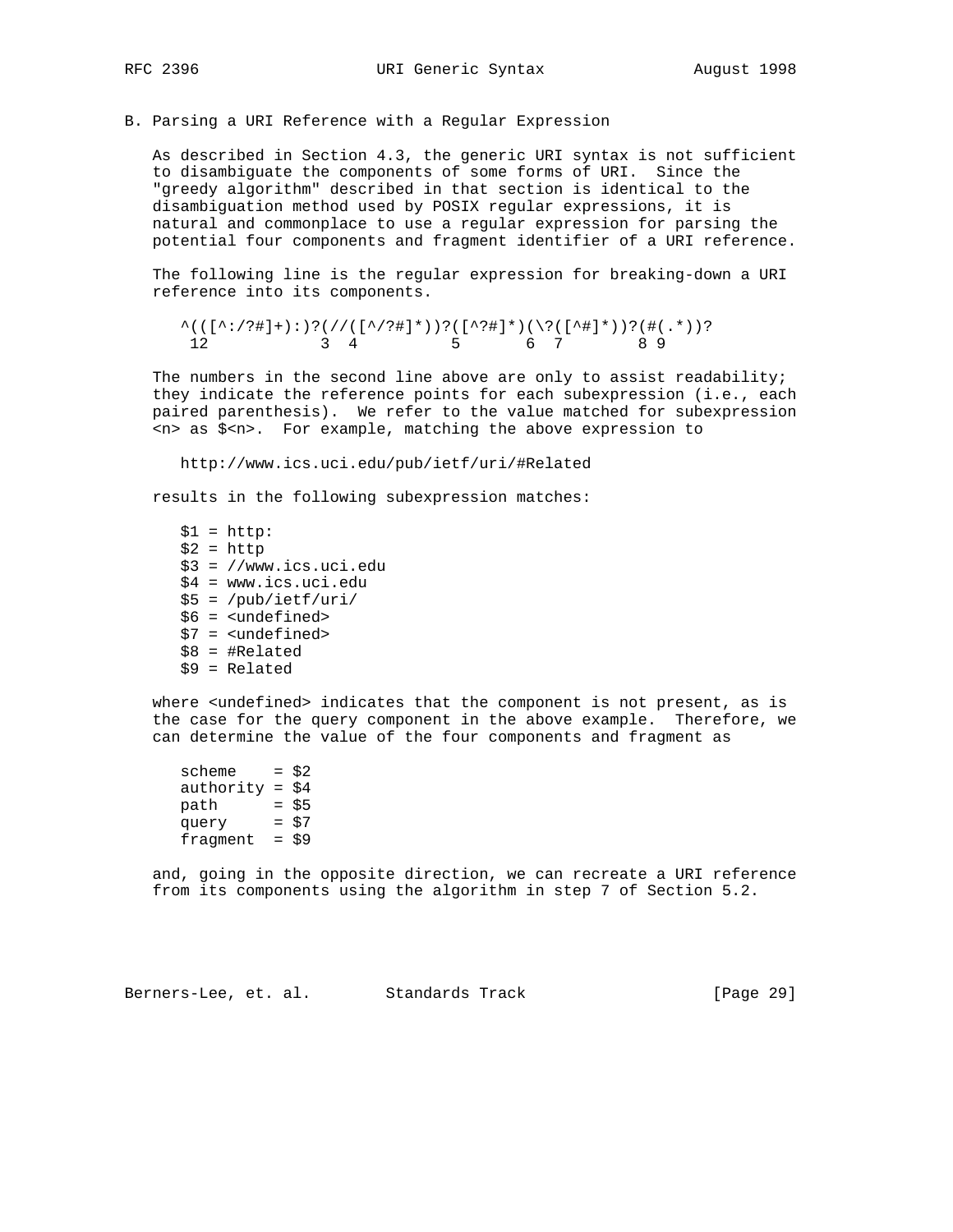B. Parsing a URI Reference with a Regular Expression

 As described in Section 4.3, the generic URI syntax is not sufficient to disambiguate the components of some forms of URI. Since the "greedy algorithm" described in that section is identical to the disambiguation method used by POSIX regular expressions, it is natural and commonplace to use a regular expression for parsing the potential four components and fragment identifier of a URI reference.

 The following line is the regular expression for breaking-down a URI reference into its components.

 $\wedge((\wedge\cdot\cdot\cdot)^{*})\wedge((\wedge\cdot\cdot)^{*})\wedge((\wedge\cdot)^{*})\wedge((\wedge\cdot)^{*})\wedge((\wedge\cdot)^{*})\wedge((\wedge\cdot)^{*})\wedge((\wedge\cdot)^{*})\wedge((\wedge\cdot)^{*})\wedge((\wedge\cdot)^{*})\wedge((\wedge\cdot)^{*})\wedge((\wedge\cdot)^{*})\wedge((\wedge\cdot)^{*})\wedge((\wedge\cdot)^{*})\wedge((\wedge\cdot)^{*})\wedge((\wedge\cdot)^{*})\wedge((\wedge\cdot)^{*})\wedge((\wedge\cdot)^{*})\wedge((\wedge\cdot)^$ 12 3 4 5 6 7 8 9

The numbers in the second line above are only to assist readability; they indicate the reference points for each subexpression (i.e., each paired parenthesis). We refer to the value matched for subexpression <n> as \$<n>. For example, matching the above expression to

http://www.ics.uci.edu/pub/ietf/uri/#Related

results in the following subexpression matches:

 $$1 = http:$  $$2$  = http \$3 = //www.ics.uci.edu \$4 = www.ics.uci.edu \$5 = /pub/ietf/uri/ \$6 = <undefined> \$7 = <undefined> \$8 = #Related  $$9 = Related$ 

where <undefined> indicates that the component is not present, as is the case for the query component in the above example. Therefore, we can determine the value of the four components and fragment as

scheme  $= $2$ authority =  $$4$  $path = $5$  query = \$7 fragment =  $$9$ 

> and, going in the opposite direction, we can recreate a URI reference from its components using the algorithm in step 7 of Section 5.2.

Berners-Lee, et. al. Standards Track [Page 29]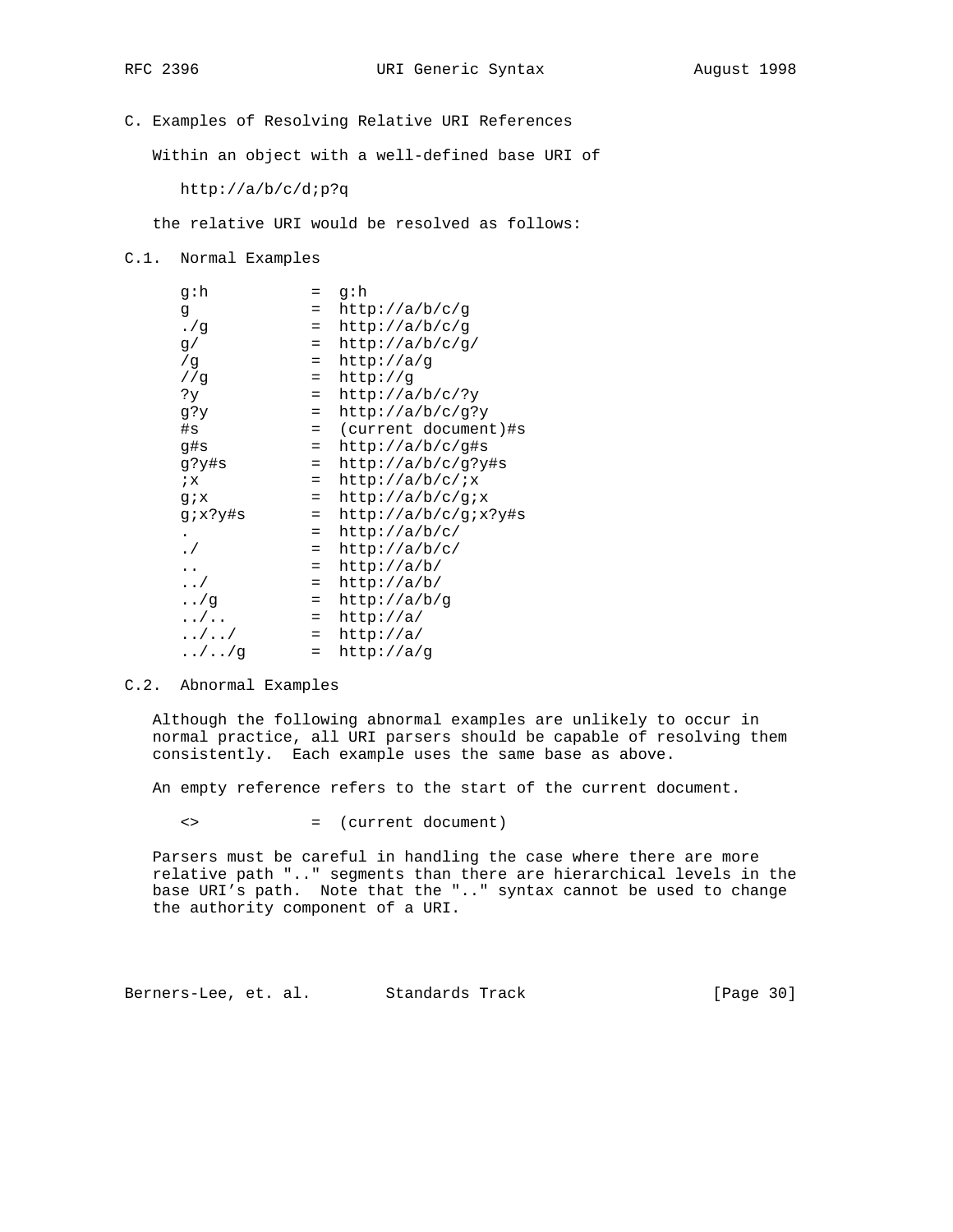C. Examples of Resolving Relative URI References

Within an object with a well-defined base URI of

http://a/b/c/d;p?q

the relative URI would be resolved as follows:

C.1. Normal Examples

| q∶h           | $=$ | q∶h                  |
|---------------|-----|----------------------|
| g             | $=$ | http://a/b/c/g       |
| . /q          | $=$ | http://a/b/c/g       |
| g/            | $=$ | http://a/b/c/q/      |
| /g            | $=$ | http://a/q           |
| //q           | $=$ | http://g             |
| ?у            | $=$ | http://a/b/c/?y      |
| g?y           | $=$ | http://a/b/c/g?y     |
| #s            | $=$ | (current document)#s |
| q#s           | $=$ | http://a/b/c/q#s     |
| q?y#s         | $=$ | http://a/b/c/g?y#s   |
| ix            | $=$ | http://a/b/c/ix      |
| $g_{i}x$      | $=$ | http://a/b/c/gix     |
| g;x?y#s       | $=$ | http://a/b/c/qix?y#s |
|               | $=$ | http://a/b/c/        |
| $\cdot$ /     | $=$ | http://a/b/c/        |
|               | $=$ | http://a/b/          |
| $\ldots/$     | $=$ | http://a/b/          |
| $\ldots$ /g   | $=$ | http://a/b/g         |
| $\dots/$      | $=$ | http://a/            |
| $\dots/$ /    | $=$ | http://a/            |
| $\ldots/$ / g | $=$ | http://a/g           |

#### C.2. Abnormal Examples

 Although the following abnormal examples are unlikely to occur in normal practice, all URI parsers should be capable of resolving them consistently. Each example uses the same base as above.

An empty reference refers to the start of the current document.

<> = (current document)

 Parsers must be careful in handling the case where there are more relative path ".." segments than there are hierarchical levels in the base URI's path. Note that the ".." syntax cannot be used to change the authority component of a URI.

Berners-Lee, et. al. Standards Track [Page 30]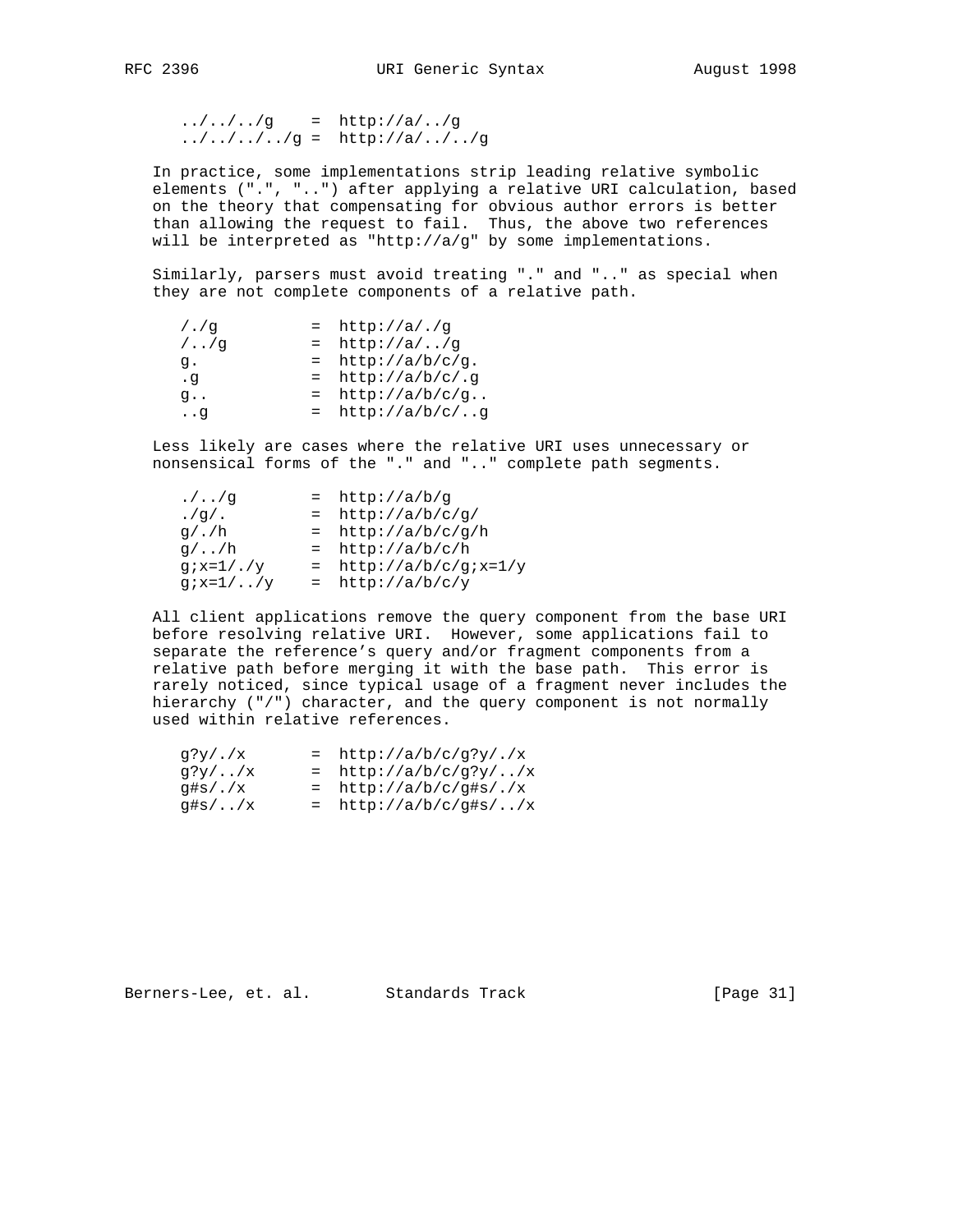$1.7.7.7.79$  = http://a/../g  $\ldots / \ldots / \ldots / g = \text{http://a/.../../g}$ 

 In practice, some implementations strip leading relative symbolic elements (".", "..") after applying a relative URI calculation, based on the theory that compensating for obvious author errors is better than allowing the request to fail. Thus, the above two references will be interpreted as "http://a/g" by some implementations.

 Similarly, parsers must avoid treating "." and ".." as special when they are not complete components of a relative path.

| $/$ ./q | $=$ http://a/./q    |
|---------|---------------------|
| $/$ /q  | $=$ http://a//q     |
| q.      | $=$ http://a/b/c/q. |
| . q     | $=$ http://a/b/c/.g |
| q.,     | $=$ http://a/b/c/g  |
| . . q   | $=$ http://a/b/c/g  |

 Less likely are cases where the relative URI uses unnecessary or nonsensical forms of the "." and ".." complete path segments.

| . / / q          | $=$ http://a/b/g         |
|------------------|--------------------------|
| $.$ /q/ $.$      | $=$ http://a/b/c/g/      |
| q / . / h        | $=$ http://a/b/c/g/h     |
| $q/\ldots/h$     | $=$ http://a/b/c/h       |
| $qix=1/$ ./y     | $=$ http://a/b/c/gix=1/y |
| $gix=1/\ldots/y$ | $=$ http://a/b/c/y       |

 All client applications remove the query component from the base URI before resolving relative URI. However, some applications fail to separate the reference's query and/or fragment components from a relative path before merging it with the base path. This error is rarely noticed, since typical usage of a fragment never includes the hierarchy ("/") character, and the query component is not normally used within relative references.

| g?y/./x              | $=$ http://a/b/c/q?y/./x |
|----------------------|--------------------------|
| $q$ ?y//x            | $=$ http://a/b/c/g?y//x  |
| q#s/./x              | $=$ http://a/b/c/q#s/./x |
| $q\sharp s/\ldots/x$ | $=$ http://a/b/c/g#s//x  |

Berners-Lee, et. al. Standards Track [Page 31]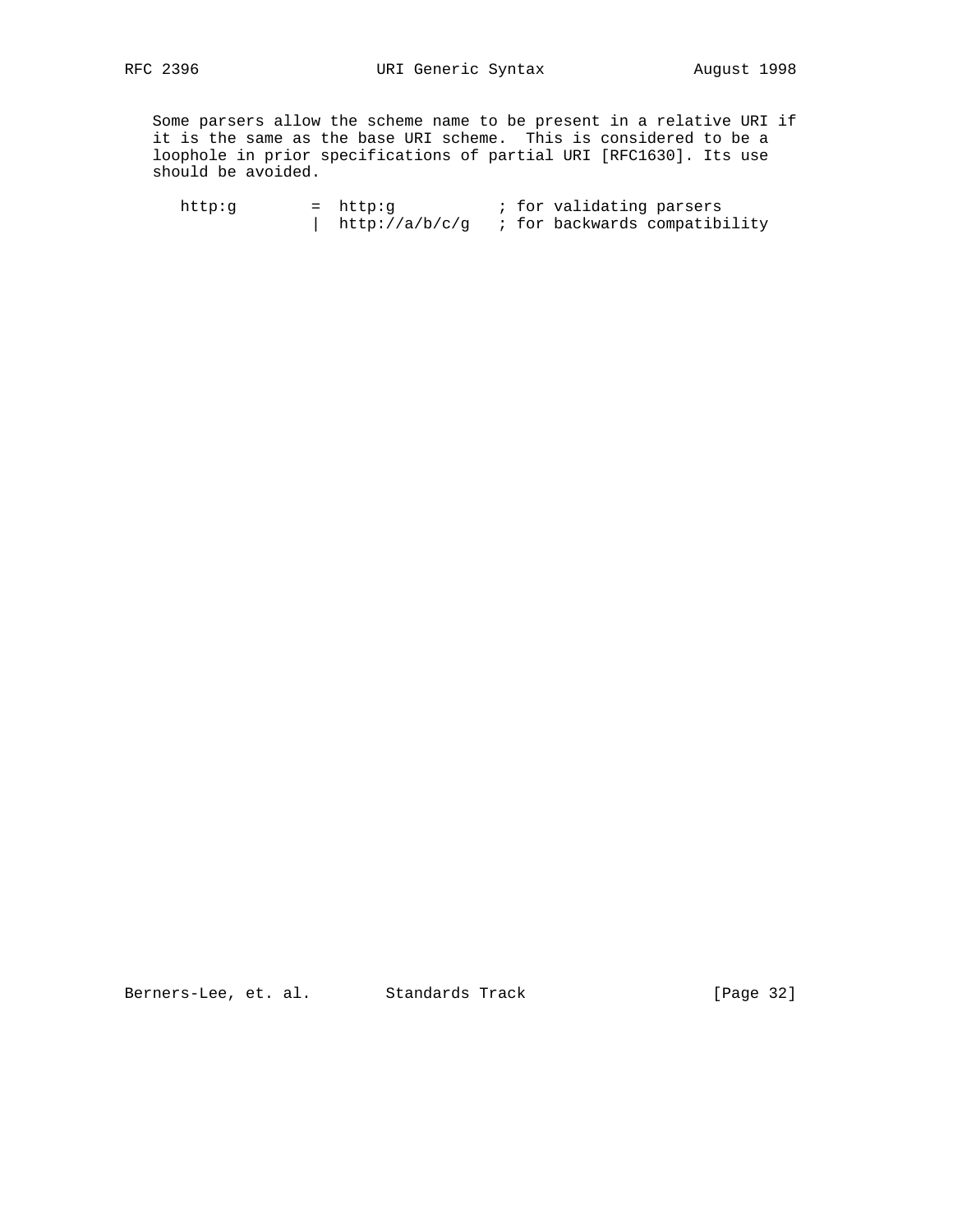Some parsers allow the scheme name to be present in a relative URI if it is the same as the base URI scheme. This is considered to be a loophole in prior specifications of partial URI [RFC1630]. Its use should be avoided.

http:g = http:g ; for validating parsers | http://a/b/c/g ; for backwards compatibility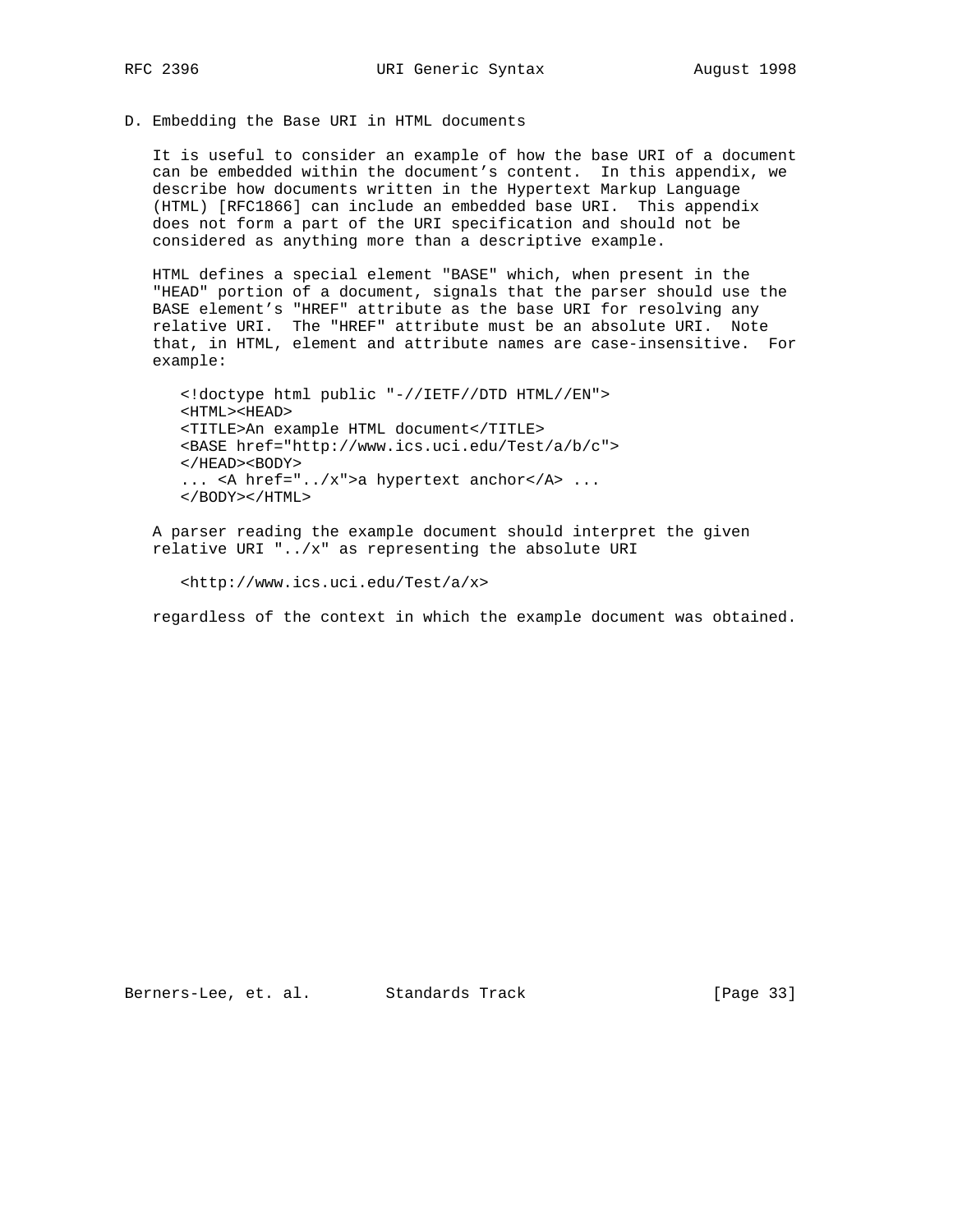D. Embedding the Base URI in HTML documents

 It is useful to consider an example of how the base URI of a document can be embedded within the document's content. In this appendix, we describe how documents written in the Hypertext Markup Language (HTML) [RFC1866] can include an embedded base URI. This appendix does not form a part of the URI specification and should not be considered as anything more than a descriptive example.

 HTML defines a special element "BASE" which, when present in the "HEAD" portion of a document, signals that the parser should use the BASE element's "HREF" attribute as the base URI for resolving any relative URI. The "HREF" attribute must be an absolute URI. Note that, in HTML, element and attribute names are case-insensitive. For example:

 <!doctype html public "-//IETF//DTD HTML//EN"> <HTML><HEAD> <TITLE>An example HTML document</TITLE> <BASE href="http://www.ics.uci.edu/Test/a/b/c">  $<$ /HEAD> $<$ BODY> ... <A href="../x">a hypertext anchor</A> ... </BODY></HTML>

 A parser reading the example document should interpret the given relative URI "../x" as representing the absolute URI

<http://www.ics.uci.edu/Test/a/x>

regardless of the context in which the example document was obtained.

Berners-Lee, et. al. Standards Track (Page 33)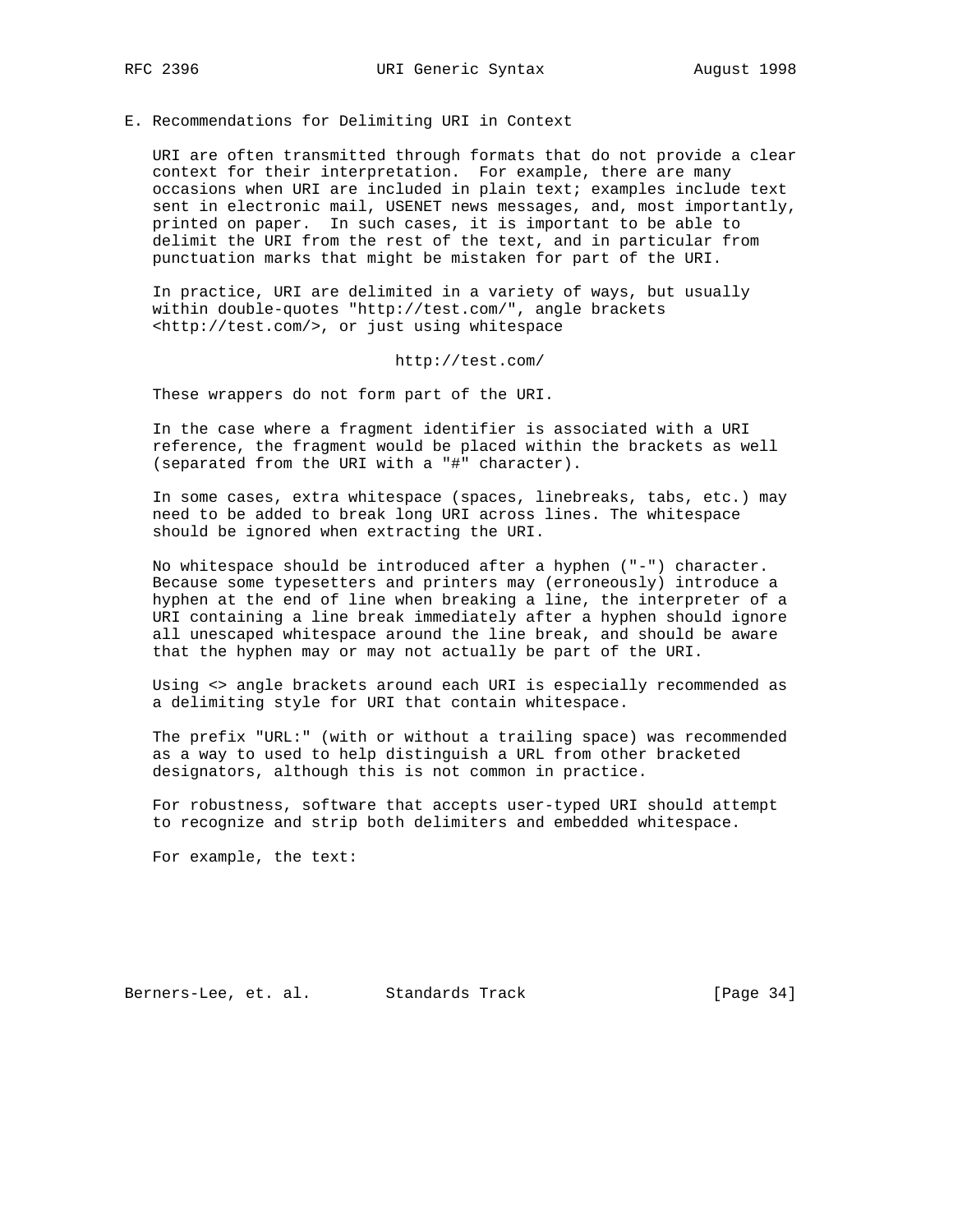E. Recommendations for Delimiting URI in Context

 URI are often transmitted through formats that do not provide a clear context for their interpretation. For example, there are many occasions when URI are included in plain text; examples include text sent in electronic mail, USENET news messages, and, most importantly, printed on paper. In such cases, it is important to be able to delimit the URI from the rest of the text, and in particular from punctuation marks that might be mistaken for part of the URI.

 In practice, URI are delimited in a variety of ways, but usually within double-quotes "http://test.com/", angle brackets <http://test.com/>, or just using whitespace

http://test.com/

These wrappers do not form part of the URI.

 In the case where a fragment identifier is associated with a URI reference, the fragment would be placed within the brackets as well (separated from the URI with a "#" character).

 In some cases, extra whitespace (spaces, linebreaks, tabs, etc.) may need to be added to break long URI across lines. The whitespace should be ignored when extracting the URI.

 No whitespace should be introduced after a hyphen ("-") character. Because some typesetters and printers may (erroneously) introduce a hyphen at the end of line when breaking a line, the interpreter of a URI containing a line break immediately after a hyphen should ignore all unescaped whitespace around the line break, and should be aware that the hyphen may or may not actually be part of the URI.

 Using <> angle brackets around each URI is especially recommended as a delimiting style for URI that contain whitespace.

 The prefix "URL:" (with or without a trailing space) was recommended as a way to used to help distinguish a URL from other bracketed designators, although this is not common in practice.

 For robustness, software that accepts user-typed URI should attempt to recognize and strip both delimiters and embedded whitespace.

For example, the text:

Berners-Lee, et. al. Standards Track [Page 34]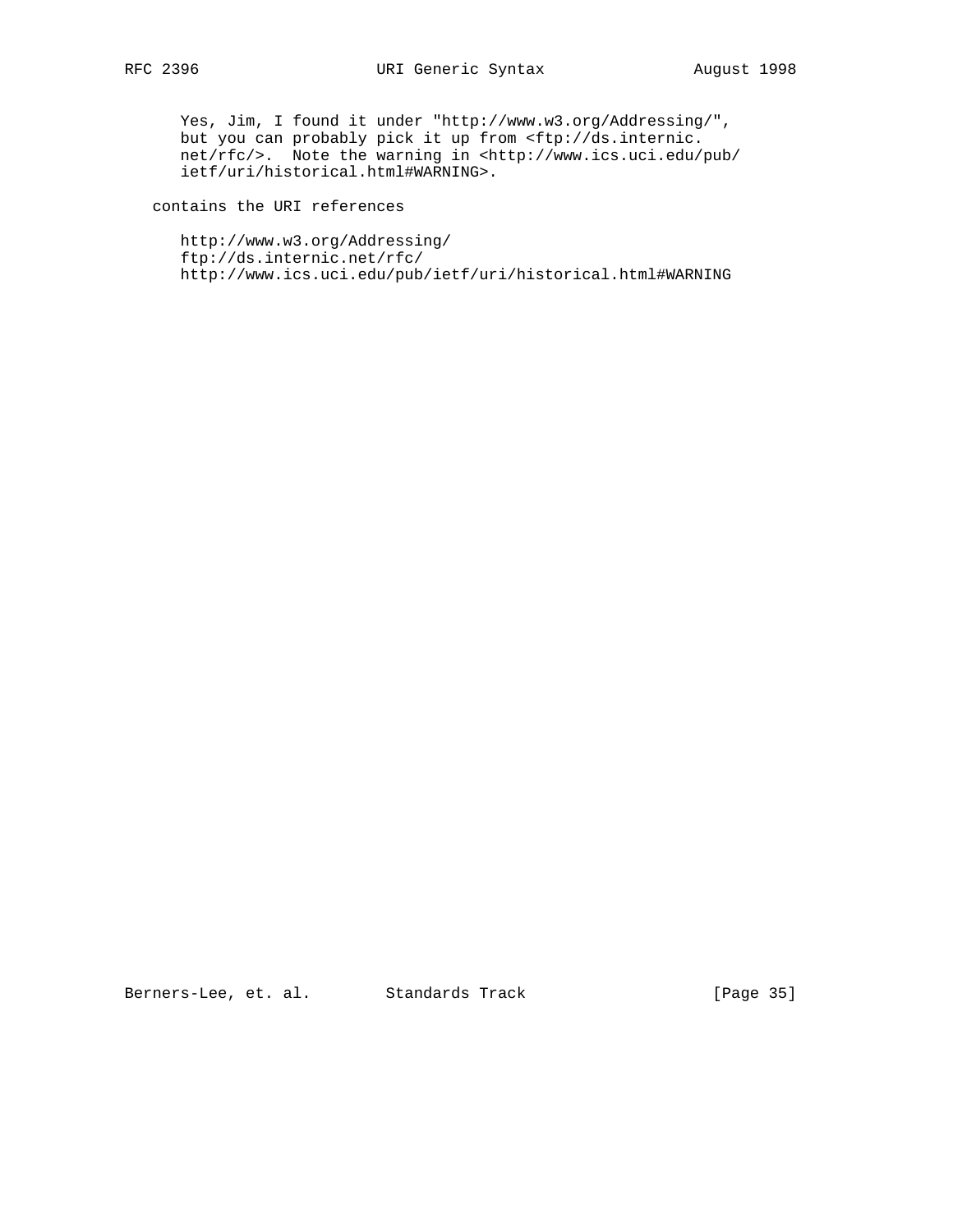Yes, Jim, I found it under "http://www.w3.org/Addressing/", but you can probably pick it up from <ftp://ds.internic. net/rfc/>. Note the warning in <http://www.ics.uci.edu/pub/ ietf/uri/historical.html#WARNING>.

contains the URI references

 http://www.w3.org/Addressing/ ftp://ds.internic.net/rfc/ http://www.ics.uci.edu/pub/ietf/uri/historical.html#WARNING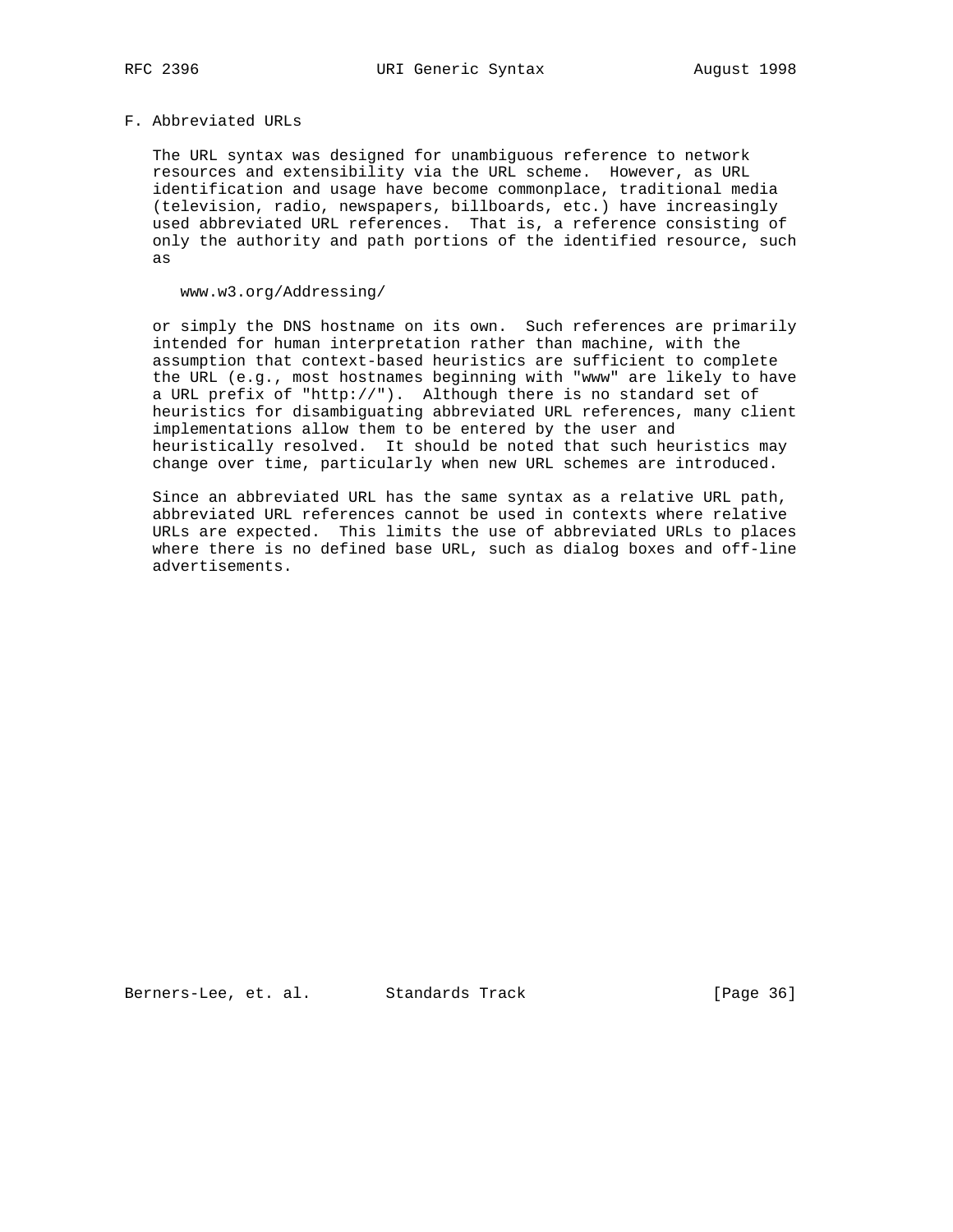#### F. Abbreviated URLs

 The URL syntax was designed for unambiguous reference to network resources and extensibility via the URL scheme. However, as URL identification and usage have become commonplace, traditional media (television, radio, newspapers, billboards, etc.) have increasingly used abbreviated URL references. That is, a reference consisting of only the authority and path portions of the identified resource, such as

## www.w3.org/Addressing/

 or simply the DNS hostname on its own. Such references are primarily intended for human interpretation rather than machine, with the assumption that context-based heuristics are sufficient to complete the URL (e.g., most hostnames beginning with "www" are likely to have a URL prefix of "http://"). Although there is no standard set of heuristics for disambiguating abbreviated URL references, many client implementations allow them to be entered by the user and heuristically resolved. It should be noted that such heuristics may change over time, particularly when new URL schemes are introduced.

 Since an abbreviated URL has the same syntax as a relative URL path, abbreviated URL references cannot be used in contexts where relative URLs are expected. This limits the use of abbreviated URLs to places where there is no defined base URL, such as dialog boxes and off-line advertisements.

Berners-Lee, et. al. Standards Track [Page 36]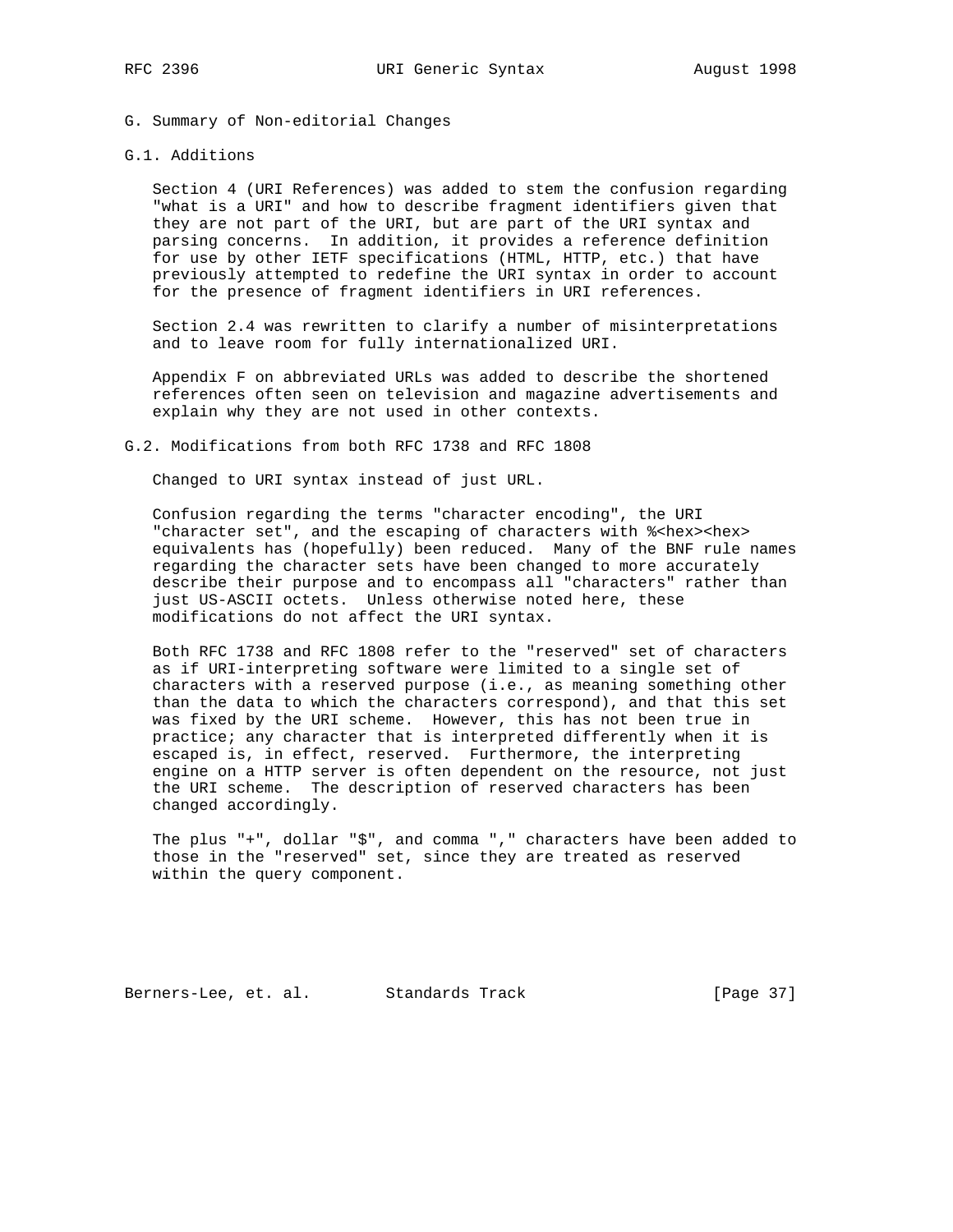- G. Summary of Non-editorial Changes
- G.1. Additions

 Section 4 (URI References) was added to stem the confusion regarding "what is a URI" and how to describe fragment identifiers given that they are not part of the URI, but are part of the URI syntax and parsing concerns. In addition, it provides a reference definition for use by other IETF specifications (HTML, HTTP, etc.) that have previously attempted to redefine the URI syntax in order to account for the presence of fragment identifiers in URI references.

 Section 2.4 was rewritten to clarify a number of misinterpretations and to leave room for fully internationalized URI.

 Appendix F on abbreviated URLs was added to describe the shortened references often seen on television and magazine advertisements and explain why they are not used in other contexts.

G.2. Modifications from both RFC 1738 and RFC 1808

Changed to URI syntax instead of just URL.

 Confusion regarding the terms "character encoding", the URI "character set", and the escaping of characters with %<hex><hex> equivalents has (hopefully) been reduced. Many of the BNF rule names regarding the character sets have been changed to more accurately describe their purpose and to encompass all "characters" rather than just US-ASCII octets. Unless otherwise noted here, these modifications do not affect the URI syntax.

 Both RFC 1738 and RFC 1808 refer to the "reserved" set of characters as if URI-interpreting software were limited to a single set of characters with a reserved purpose (i.e., as meaning something other than the data to which the characters correspond), and that this set was fixed by the URI scheme. However, this has not been true in practice; any character that is interpreted differently when it is escaped is, in effect, reserved. Furthermore, the interpreting engine on a HTTP server is often dependent on the resource, not just the URI scheme. The description of reserved characters has been changed accordingly.

 The plus "+", dollar "\$", and comma "," characters have been added to those in the "reserved" set, since they are treated as reserved within the query component.

Berners-Lee, et. al. Standards Track [Page 37]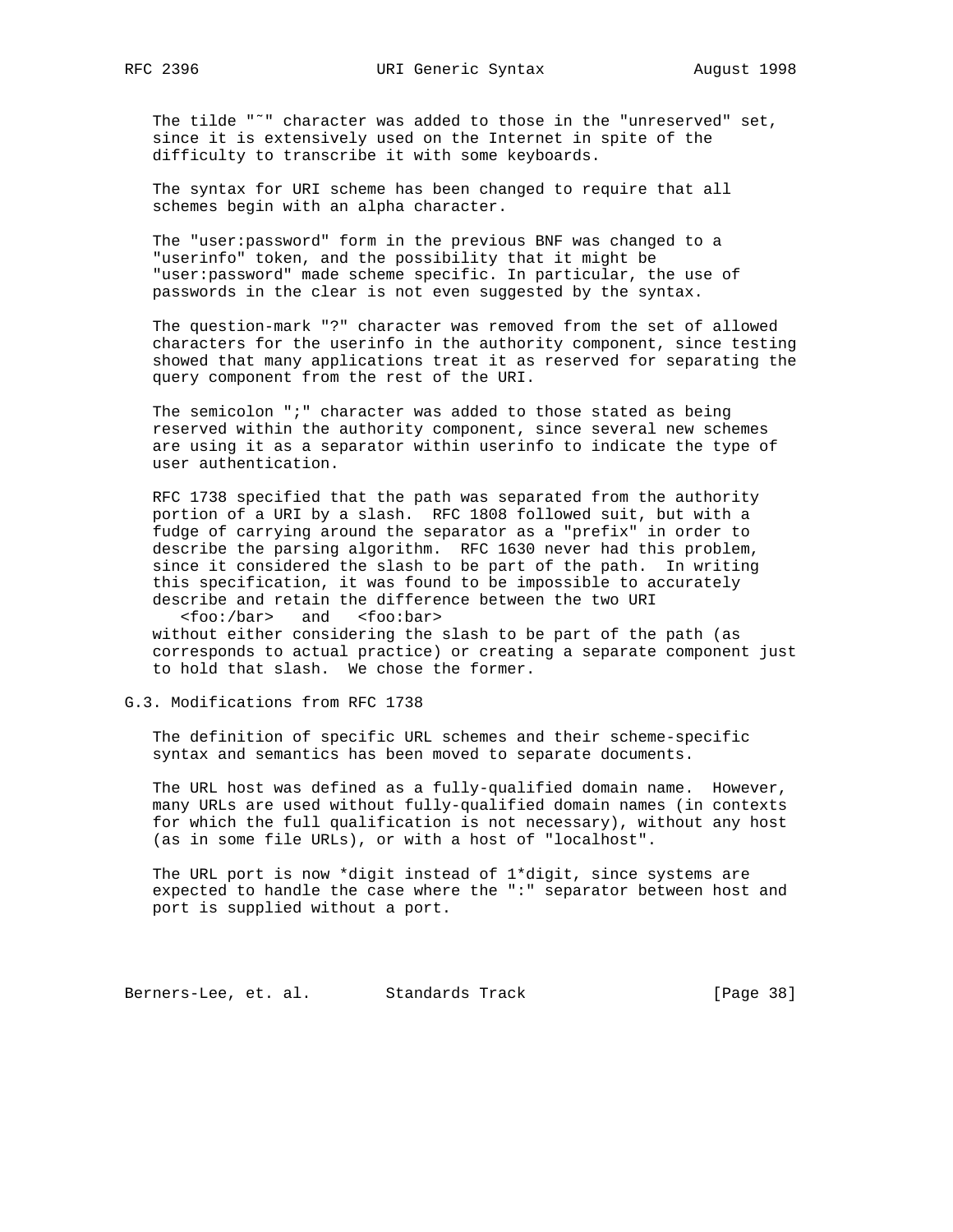The tilde "˜" character was added to those in the "unreserved" set, since it is extensively used on the Internet in spite of the difficulty to transcribe it with some keyboards.

 The syntax for URI scheme has been changed to require that all schemes begin with an alpha character.

 The "user:password" form in the previous BNF was changed to a "userinfo" token, and the possibility that it might be "user:password" made scheme specific. In particular, the use of passwords in the clear is not even suggested by the syntax.

 The question-mark "?" character was removed from the set of allowed characters for the userinfo in the authority component, since testing showed that many applications treat it as reserved for separating the query component from the rest of the URI.

 The semicolon ";" character was added to those stated as being reserved within the authority component, since several new schemes are using it as a separator within userinfo to indicate the type of user authentication.

 RFC 1738 specified that the path was separated from the authority portion of a URI by a slash. RFC 1808 followed suit, but with a fudge of carrying around the separator as a "prefix" in order to describe the parsing algorithm. RFC 1630 never had this problem, since it considered the slash to be part of the path. In writing this specification, it was found to be impossible to accurately describe and retain the difference between the two URI <foo:/bar> and <foo:bar>

 without either considering the slash to be part of the path (as corresponds to actual practice) or creating a separate component just to hold that slash. We chose the former.

# G.3. Modifications from RFC 1738

 The definition of specific URL schemes and their scheme-specific syntax and semantics has been moved to separate documents.

 The URL host was defined as a fully-qualified domain name. However, many URLs are used without fully-qualified domain names (in contexts for which the full qualification is not necessary), without any host (as in some file URLs), or with a host of "localhost".

 The URL port is now \*digit instead of 1\*digit, since systems are expected to handle the case where the ":" separator between host and port is supplied without a port.

Berners-Lee, et. al. Standards Track [Page 38]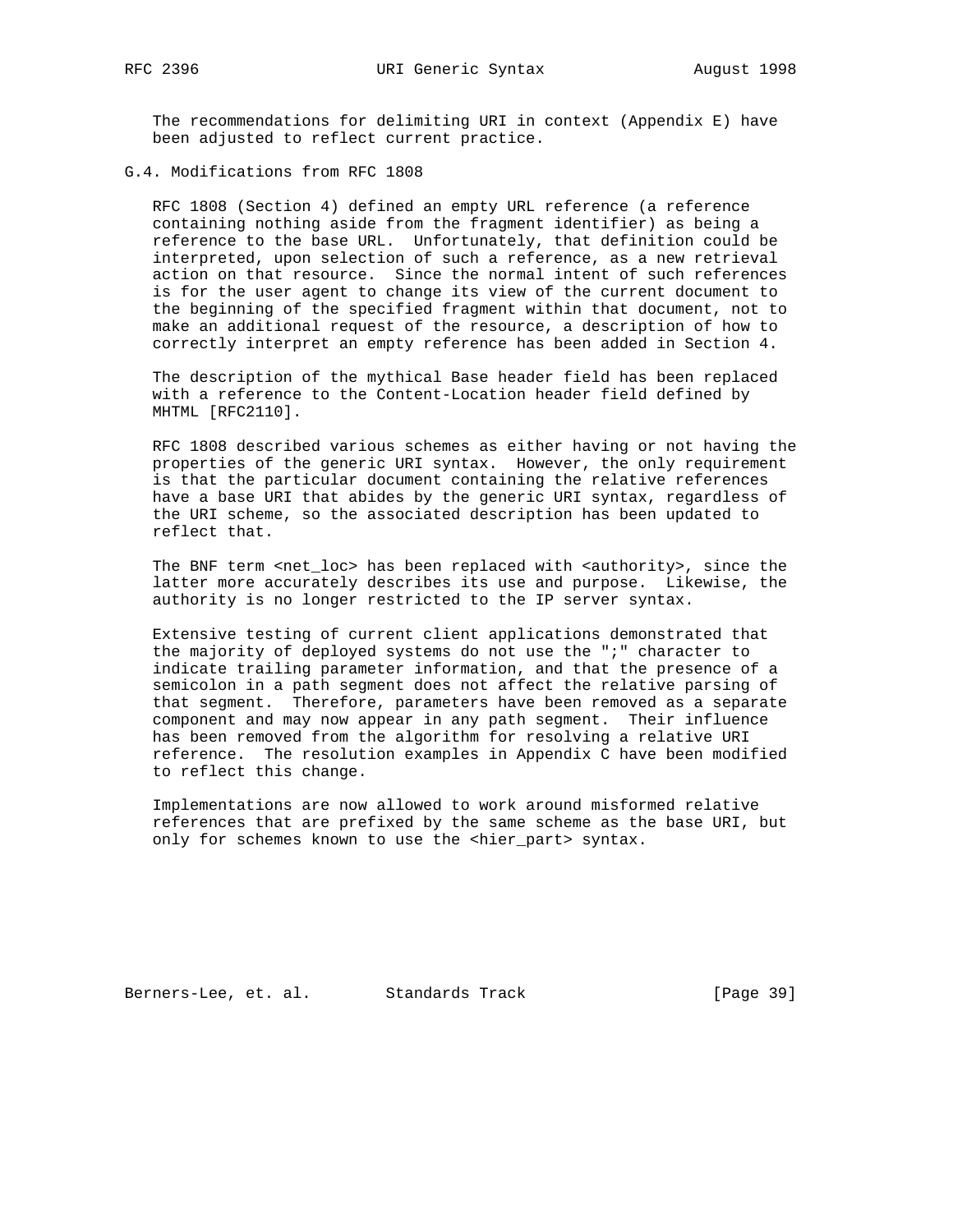The recommendations for delimiting URI in context (Appendix E) have been adjusted to reflect current practice.

G.4. Modifications from RFC 1808

 RFC 1808 (Section 4) defined an empty URL reference (a reference containing nothing aside from the fragment identifier) as being a reference to the base URL. Unfortunately, that definition could be interpreted, upon selection of such a reference, as a new retrieval action on that resource. Since the normal intent of such references is for the user agent to change its view of the current document to the beginning of the specified fragment within that document, not to make an additional request of the resource, a description of how to correctly interpret an empty reference has been added in Section 4.

 The description of the mythical Base header field has been replaced with a reference to the Content-Location header field defined by MHTML [RFC2110].

 RFC 1808 described various schemes as either having or not having the properties of the generic URI syntax. However, the only requirement is that the particular document containing the relative references have a base URI that abides by the generic URI syntax, regardless of the URI scheme, so the associated description has been updated to reflect that.

The BNF term <net\_loc> has been replaced with <authority>, since the latter more accurately describes its use and purpose. Likewise, the authority is no longer restricted to the IP server syntax.

 Extensive testing of current client applications demonstrated that the majority of deployed systems do not use the ";" character to indicate trailing parameter information, and that the presence of a semicolon in a path segment does not affect the relative parsing of that segment. Therefore, parameters have been removed as a separate component and may now appear in any path segment. Their influence has been removed from the algorithm for resolving a relative URI reference. The resolution examples in Appendix C have been modified to reflect this change.

 Implementations are now allowed to work around misformed relative references that are prefixed by the same scheme as the base URI, but only for schemes known to use the <hier\_part> syntax.

Berners-Lee, et. al. Standards Track [Page 39]